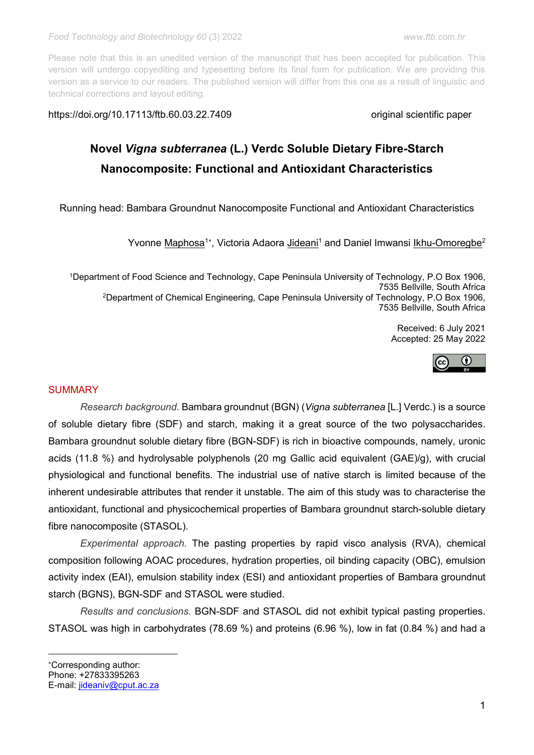### https://doi.org/10.17113/ftb.60.03.22.7409 original scientific paper

# **Novel** *Vigna subterranea* **(L.) Verdc Soluble Dietary Fibre***-***Starch Nanocomposite: Functional and Antioxidant Characteristics**

Running head: Bambara Groundnut Nanocomposite Functional and Antioxidant Characteristics

Yvonne Maphosa<sup>1\*</sup>, Victoria Adaora Jideani<sup>1</sup> and Daniel Imwansi Ikhu-Omoregbe<sup>2</sup>

Department of Food Science and Technology, Cape Peninsula University of Technology, P.O Box 1906, Bellville, South Africa Department of Chemical Engineering, Cape Peninsula University of Technology, P.O Box 1906, Bellville, South Africa

> Received: 6 July 2021 Accepted: 25 May 2022



### **SUMMARY**

*Research background*. Bambara groundnut (BGN) (*Vigna subterranea* [L.] Verdc.) is a source of soluble dietary fibre (SDF) and starch, making it a great source of the two polysaccharides. Bambara groundnut soluble dietary fibre (BGN-SDF) is rich in bioactive compounds, namely, uronic acids (11.8 %) and hydrolysable polyphenols (20 mg Gallic acid equivalent (GAE)/g), with crucial physiological and functional benefits. The industrial use of native starch is limited because of the inherent undesirable attributes that render it unstable. The aim of this study was to characterise the antioxidant, functional and physicochemical properties of Bambara groundnut starch-soluble dietary fibre nanocomposite (STASOL).

*Experimental approach*. The pasting properties by rapid visco analysis (RVA), chemical composition following AOAC procedures, hydration properties, oil binding capacity (OBC), emulsion activity index (EAI), emulsion stability index (ESI) and antioxidant properties of Bambara groundnut starch (BGNS), BGN-SDF and STASOL were studied.

*Results and conclusions*. BGN-SDF and STASOL did not exhibit typical pasting properties. STASOL was high in carbohydrates (78.69 %) and proteins (6.96 %), low in fat (0.84 %) and had a

**.** 

Corresponding author: Phone: +27833395263

E-mail: [jideaniv@cput.ac.za](mailto:yvonnemaphosa@gmail.com)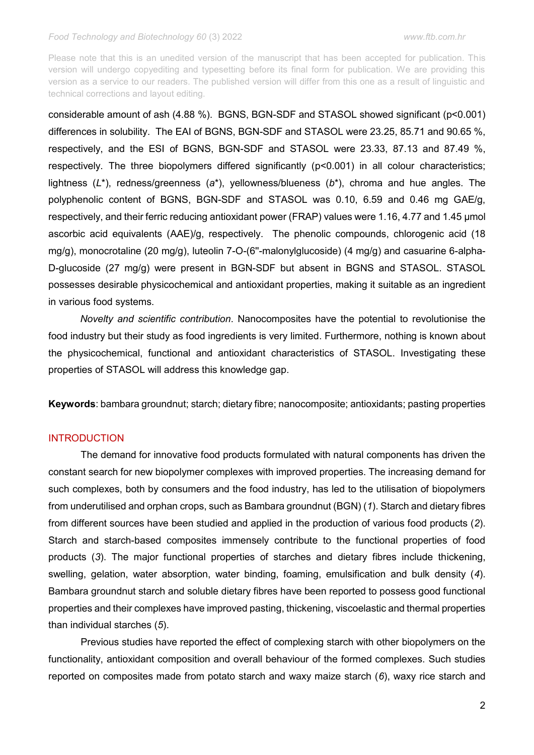Please note that this is an unedited version of the manuscript that has been accepted for publication. This version will undergo copyediting and typesetting before its final form for publication. We are providing this version as a service to our readers. The published version will differ from this one as a result of linguistic and technical corrections and layout editing.

considerable amount of ash (4.88 %). BGNS, BGN-SDF and STASOL showed significant (p<0.001) differences in solubility. The EAI of BGNS, BGN-SDF and STASOL were 23.25, 85.71 and 90.65 %, respectively, and the ESI of BGNS, BGN-SDF and STASOL were 23.33, 87.13 and 87.49 %, respectively. The three biopolymers differed significantly (p<0.001) in all colour characteristics; lightness (*L*\*), redness/greenness (*a*\*), yellowness/blueness (*b*\*), chroma and hue angles. The polyphenolic content of BGNS, BGN-SDF and STASOL was 0.10, 6.59 and 0.46 mg GAE/g, respectively, and their ferric reducing antioxidant power (FRAP) values were 1.16, 4.77 and 1.45 μmol ascorbic acid equivalents (AAE)/g, respectively. The phenolic compounds, chlorogenic acid (18 mg/g), monocrotaline (20 mg/g), luteolin 7-O-(6''-malonylglucoside) (4 mg/g) and casuarine 6-alpha-D-glucoside (27 mg/g) were present in BGN-SDF but absent in BGNS and STASOL. STASOL possesses desirable physicochemical and antioxidant properties, making it suitable as an ingredient in various food systems.

*Novelty and scientific contribution*. Nanocomposites have the potential to revolutionise the food industry but their study as food ingredients is very limited. Furthermore, nothing is known about the physicochemical, functional and antioxidant characteristics of STASOL. Investigating these properties of STASOL will address this knowledge gap.

**Keywords**: bambara groundnut; starch; dietary fibre; nanocomposite; antioxidants; pasting properties

### INTRODUCTION

The demand for innovative food products formulated with natural components has driven the constant search for new biopolymer complexes with improved properties. The increasing demand for such complexes, both by consumers and the food industry, has led to the utilisation of biopolymers from underutilised and orphan crops, such as Bambara groundnut (BGN) (*1*). Starch and dietary fibres from different sources have been studied and applied in the production of various food products (*2*). Starch and starch-based composites immensely contribute to the functional properties of food products (*3*). The major functional properties of starches and dietary fibres include thickening, swelling, gelation, water absorption, water binding, foaming, emulsification and bulk density (*4*). Bambara groundnut starch and soluble dietary fibres have been reported to possess good functional properties and their complexes have improved pasting, thickening, viscoelastic and thermal properties than individual starches (*5*).

Previous studies have reported the effect of complexing starch with other biopolymers on the functionality, antioxidant composition and overall behaviour of the formed complexes. Such studies reported on composites made from potato starch and waxy maize starch (*6*), waxy rice starch and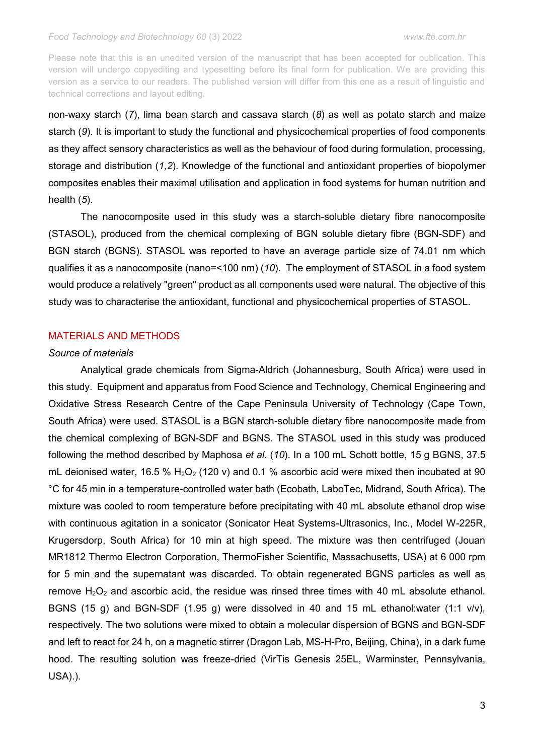non-waxy starch (*7*), lima bean starch and cassava starch (*8*) as well as potato starch and maize starch (*9*). It is important to study the functional and physicochemical properties of food components as they affect sensory characteristics as well as the behaviour of food during formulation, processing, storage and distribution (*1,2*). Knowledge of the functional and antioxidant properties of biopolymer composites enables their maximal utilisation and application in food systems for human nutrition and health (*5*).

The nanocomposite used in this study was a starch-soluble dietary fibre nanocomposite (STASOL), produced from the chemical complexing of BGN soluble dietary fibre (BGN-SDF) and BGN starch (BGNS). STASOL was reported to have an average particle size of 74.01 nm which qualifies it as a nanocomposite (nano=<100 nm) (*10*). The employment of STASOL in a food system would produce a relatively "green" product as all components used were natural. The objective of this study was to characterise the antioxidant, functional and physicochemical properties of STASOL.

### MATERIALS AND METHODS

### *Source of materials*

Analytical grade chemicals from Sigma-Aldrich (Johannesburg, South Africa) were used in this study. Equipment and apparatus from Food Science and Technology, Chemical Engineering and Oxidative Stress Research Centre of the Cape Peninsula University of Technology (Cape Town, South Africa) were used. STASOL is a BGN starch-soluble dietary fibre nanocomposite made from the chemical complexing of BGN-SDF and BGNS. The STASOL used in this study was produced following the method described by Maphosa *et al*. (*10*). In a 100 mL Schott bottle, 15 g BGNS, 37.5 mL deionised water, 16.5 %  $H_2O_2$  (120 v) and 0.1 % ascorbic acid were mixed then incubated at 90 °C for 45 min in a temperature-controlled water bath (Ecobath, LaboTec, Midrand, South Africa). The mixture was cooled to room temperature before precipitating with 40 mL absolute ethanol drop wise with continuous agitation in a sonicator (Sonicator Heat Systems-Ultrasonics, Inc., Model W-225R, Krugersdorp, South Africa) for 10 min at high speed. The mixture was then centrifuged (Jouan MR1812 Thermo Electron Corporation, ThermoFisher Scientific, Massachusetts, USA) at 6 000 rpm for 5 min and the supernatant was discarded. To obtain regenerated BGNS particles as well as remove  $H_2O_2$  and ascorbic acid, the residue was rinsed three times with 40 mL absolute ethanol. BGNS (15 g) and BGN-SDF (1.95 g) were dissolved in 40 and 15 mL ethanol:water (1:1 v/v), respectively. The two solutions were mixed to obtain a molecular dispersion of BGNS and BGN-SDF and left to react for 24 h, on a magnetic stirrer (Dragon Lab, MS-H-Pro, Beijing, China), in a dark fume hood. The resulting solution was freeze-dried (VirTis Genesis 25EL, Warminster, Pennsylvania, USA).).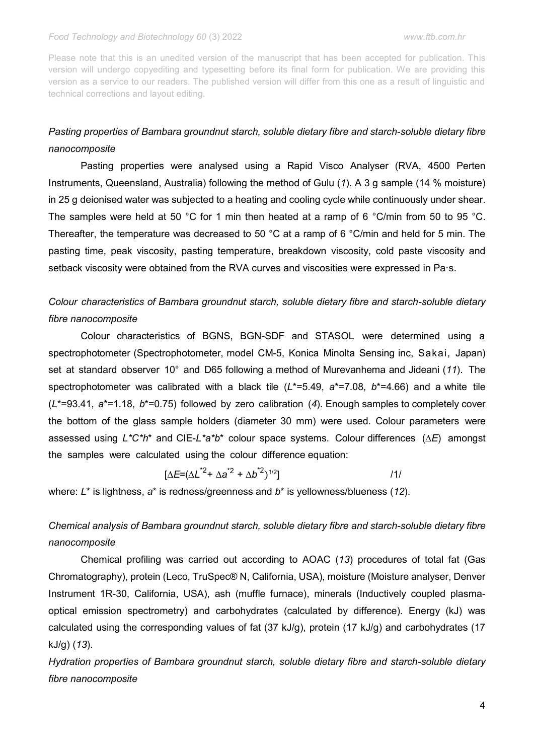# *Pasting properties of Bambara groundnut starch, soluble dietary fibre and starch-soluble dietary fibre nanocomposite*

Pasting properties were analysed using a Rapid Visco Analyser (RVA, 4500 Perten Instruments, Queensland, Australia) following the method of Gulu (*1*). A 3 g sample (14 % moisture) in 25 g deionised water was subjected to a heating and cooling cycle while continuously under shear. The samples were held at 50 °C for 1 min then heated at a ramp of 6 °C/min from 50 to 95 °C. Thereafter, the temperature was decreased to 50 °C at a ramp of 6 °C/min and held for 5 min. The pasting time, peak viscosity, pasting temperature, breakdown viscosity, cold paste viscosity and setback viscosity were obtained from the RVA curves and viscosities were expressed in Pa·s.

*Colour characteristics of Bambara groundnut starch, soluble dietary fibre and starch-soluble dietary fibre nanocomposite*

Colour characteristics of BGNS, BGN-SDF and STASOL were determined using a spectrophotometer (Spectrophotometer, model CM-5, Konica Minolta Sensing inc, Sakai, Japan) set at standard observer 10° and D65 following a method of Murevanhema and Jideani (*11*). The spectrophotometer was calibrated with a black tile (*L*\*=5.49, *a*\*=7.08, *b*\*=4.66) and a white tile (*L*\*=93.41, *a*\*=1.18, *b*\*=0.75) followed by zero calibration (*4*). Enough samples to completely cover the bottom of the glass sample holders (diameter 30 mm) were used. Colour parameters were assessed using *L\*C\*h*\* and CIE-*L\*a\*b*\* colour space systems. Colour differences (∆*E*) amongst the samples were calculated using the colour difference equation:

$$
[\Delta E = (\Delta L^{2} + \Delta a^{2} + \Delta b^{2})^{1/2}]
$$

where: *L*\* is lightness, *a*\* is redness/greenness and *b*\* is yellowness/blueness (*12*).

# *Chemical analysis of Bambara groundnut starch, soluble dietary fibre and starch-soluble dietary fibre nanocomposite*

Chemical profiling was carried out according to AOAC (*13*) procedures of total fat (Gas Chromatography), protein (Leco, TruSpec® N, California, USA), moisture (Moisture analyser, Denver Instrument 1R-30, California, USA), ash (muffle furnace), minerals (Inductively coupled plasmaoptical emission spectrometry) and carbohydrates (calculated by difference). Energy (kJ) was calculated using the corresponding values of fat (37 kJ/g), protein (17 kJ/g) and carbohydrates (17 kJ/g) (*13*).

*Hydration properties of Bambara groundnut starch, soluble dietary fibre and starch-soluble dietary fibre nanocomposite*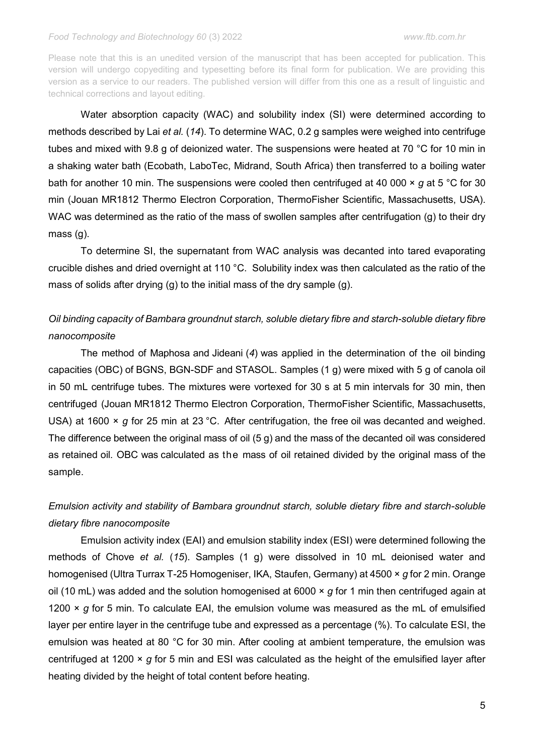Please note that this is an unedited version of the manuscript that has been accepted for publication. This version will undergo copyediting and typesetting before its final form for publication. We are providing this version as a service to our readers. The published version will differ from this one as a result of linguistic and technical corrections and layout editing.

Water absorption capacity (WAC) and solubility index (SI) were determined according to methods described by Lai *et al.* (*14*). To determine WAC, 0.2 g samples were weighed into centrifuge tubes and mixed with 9.8 g of deionized water. The suspensions were heated at 70 °C for 10 min in a shaking water bath (Ecobath, LaboTec, Midrand, South Africa) then transferred to a boiling water bath for another 10 min. The suspensions were cooled then centrifuged at 40 000 × *g* at 5 °C for 30 min (Jouan MR1812 Thermo Electron Corporation, ThermoFisher Scientific, Massachusetts, USA). WAC was determined as the ratio of the mass of swollen samples after centrifugation (g) to their dry mass (g).

To determine SI, the supernatant from WAC analysis was decanted into tared evaporating crucible dishes and dried overnight at 110 °C. Solubility index was then calculated as the ratio of the mass of solids after drying (g) to the initial mass of the dry sample (g).

# *Oil binding capacity of Bambara groundnut starch, soluble dietary fibre and starch-soluble dietary fibre nanocomposite*

The method of Maphosa and Jideani (*4*) was applied in the determination of the oil binding capacities (OBC) of BGNS, BGN-SDF and STASOL. Samples (1 g) were mixed with 5 g of canola oil in 50 mL centrifuge tubes. The mixtures were vortexed for 30 s at 5 min intervals for 30 min, then centrifuged (Jouan MR1812 Thermo Electron Corporation, ThermoFisher Scientific, Massachusetts, USA) at 1600 × *g* for 25 min at 23 °C. After centrifugation, the free oil was decanted and weighed. The difference between the original mass of oil (5 g) and the mass of the decanted oil was considered as retained oil. OBC was calculated as the mass of oil retained divided by the original mass of the sample.

# *Emulsion activity and stability of Bambara groundnut starch, soluble dietary fibre and starch-soluble dietary fibre nanocomposite*

Emulsion activity index (EAI) and emulsion stability index (ESI) were determined following the methods of Chove *et al.* (*15*). Samples (1 g) were dissolved in 10 mL deionised water and homogenised (Ultra Turrax T-25 Homogeniser, IKA, Staufen, Germany) at 4500 × *g* for 2 min. Orange oil (10 mL) was added and the solution homogenised at 6000 × *g* for 1 min then centrifuged again at 1200 × *g* for 5 min. To calculate EAI, the emulsion volume was measured as the mL of emulsified layer per entire layer in the centrifuge tube and expressed as a percentage (%). To calculate ESI, the emulsion was heated at 80 °C for 30 min. After cooling at ambient temperature, the emulsion was centrifuged at 1200 × *g* for 5 min and ESI was calculated as the height of the emulsified layer after heating divided by the height of total content before heating.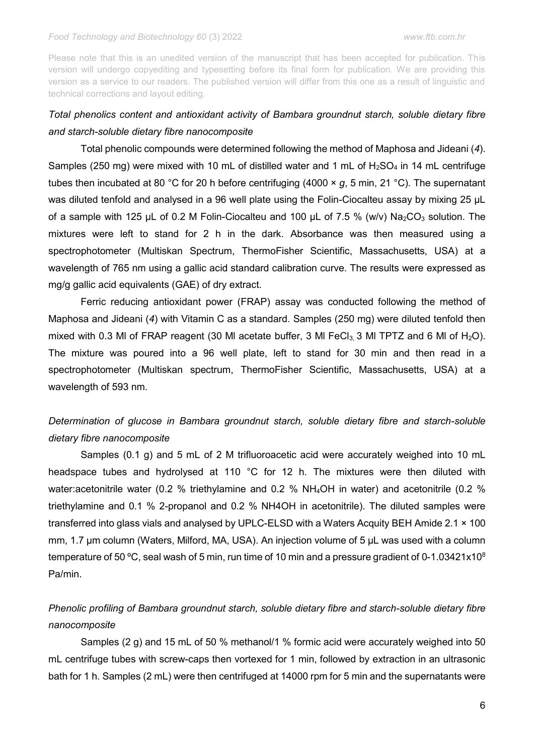Please note that this is an unedited version of the manuscript that has been accepted for publication. This version will undergo copyediting and typesetting before its final form for publication. We are providing this version as a service to our readers. The published version will differ from this one as a result of linguistic and technical corrections and layout editing.

# *Total phenolics content and antioxidant activity of Bambara groundnut starch, soluble dietary fibre and starch-soluble dietary fibre nanocomposite*

Total phenolic compounds were determined following the method of Maphosa and Jideani (*4*). Samples (250 mg) were mixed with 10 mL of distilled water and 1 mL of  $H_2SO_4$  in 14 mL centrifuge tubes then incubated at 80 °C for 20 h before centrifuging (4000 × *g*, 5 min, 21 °C). The supernatant was diluted tenfold and analysed in a 96 well plate using the Folin-Ciocalteu assay by mixing 25 µL of a sample with 125 µL of 0.2 M Folin-Ciocalteu and 100 µL of 7.5 % (w/v)  $Na<sub>2</sub>CO<sub>3</sub>$  solution. The mixtures were left to stand for 2 h in the dark. Absorbance was then measured using a spectrophotometer (Multiskan Spectrum, ThermoFisher Scientific, Massachusetts, USA) at a wavelength of 765 nm using a gallic acid standard calibration curve. The results were expressed as mg/g gallic acid equivalents (GAE) of dry extract.

Ferric reducing antioxidant power (FRAP) assay was conducted following the method of Maphosa and Jideani (*4*) with Vitamin C as a standard. Samples (250 mg) were diluted tenfold then mixed with 0.3 MI of FRAP reagent (30 MI acetate buffer, 3 MI FeCl<sub>3</sub>, 3 MI TPTZ and 6 MI of H<sub>2</sub>O). The mixture was poured into a 96 well plate, left to stand for 30 min and then read in a spectrophotometer (Multiskan spectrum, ThermoFisher Scientific, Massachusetts, USA) at a wavelength of 593 nm.

# *Determination of glucose in Bambara groundnut starch, soluble dietary fibre and starch-soluble dietary fibre nanocomposite*

Samples (0.1 g) and 5 mL of 2 M trifluoroacetic acid were accurately weighed into 10 mL headspace tubes and hydrolysed at 110 °C for 12 h. The mixtures were then diluted with water:acetonitrile water (0.2 % triethylamine and 0.2 % NH<sub>4</sub>OH in water) and acetonitrile (0.2 % triethylamine and 0.1 % 2-propanol and 0.2 % NH4OH in acetonitrile). The diluted samples were transferred into glass vials and analysed by UPLC-ELSD with a Waters Acquity BEH Amide 2.1 × 100 mm, 1.7 µm column (Waters, Milford, MA, USA). An injection volume of 5 µL was used with a column temperature of 50 °C, seal wash of 5 min, run time of 10 min and a pressure gradient of 0-1.03421x10<sup>8</sup> Pa/min.

# *Phenolic profiling of Bambara groundnut starch, soluble dietary fibre and starch-soluble dietary fibre nanocomposite*

Samples (2 g) and 15 mL of 50 % methanol/1 % formic acid were accurately weighed into 50 mL centrifuge tubes with screw-caps then vortexed for 1 min, followed by extraction in an ultrasonic bath for 1 h. Samples (2 mL) were then centrifuged at 14000 rpm for 5 min and the supernatants were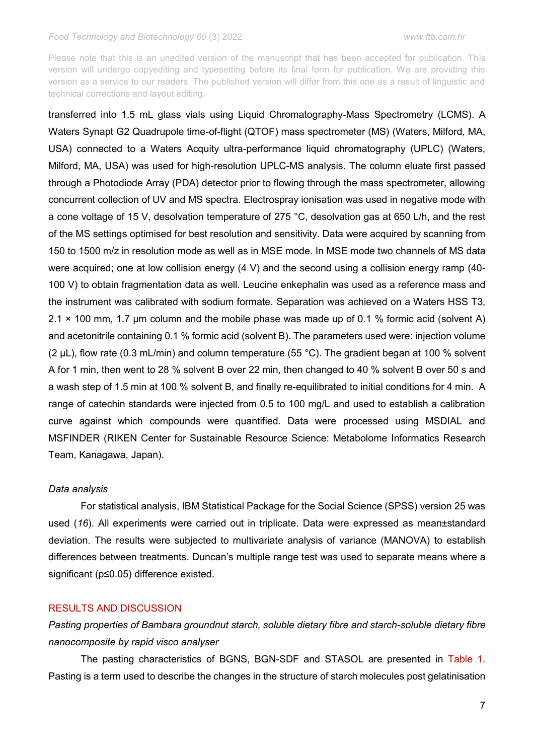Please note that this is an unedited version of the manuscript that has been accepted for publication. This version will undergo copyediting and typesetting before its final form for publication. We are providing this version as a service to our readers. The published version will differ from this one as a result of linguistic and technical corrections and layout editing.

transferred into 1.5 mL glass vials using Liquid Chromatography-Mass Spectrometry (LCMS). A Waters Synapt G2 Quadrupole time-of-flight (QTOF) mass spectrometer (MS) (Waters, Milford, MA, USA) connected to a Waters Acquity ultra-performance liquid chromatography (UPLC) (Waters, Milford, MA, USA) was used for high-resolution UPLC-MS analysis. The column eluate first passed through a Photodiode Array (PDA) detector prior to flowing through the mass spectrometer, allowing concurrent collection of UV and MS spectra. Electrospray ionisation was used in negative mode with a cone voltage of 15 V, desolvation temperature of 275 °C, desolvation gas at 650 L/h, and the rest of the MS settings optimised for best resolution and sensitivity. Data were acquired by scanning from 150 to 1500 m/z in resolution mode as well as in MSE mode. In MSE mode two channels of MS data were acquired; one at low collision energy (4 V) and the second using a collision energy ramp (40- 100 V) to obtain fragmentation data as well. Leucine enkephalin was used as a reference mass and the instrument was calibrated with sodium formate. Separation was achieved on a Waters HSS T3,  $2.1 \times 100$  mm, 1.7 µm column and the mobile phase was made up of 0.1 % formic acid (solvent A) and acetonitrile containing 0.1 % formic acid (solvent B). The parameters used were: injection volume (2 µL), flow rate (0.3 mL/min) and column temperature (55 °C). The gradient began at 100 % solvent A for 1 min, then went to 28 % solvent B over 22 min, then changed to 40 % solvent B over 50 s and a wash step of 1.5 min at 100 % solvent B, and finally re-equilibrated to initial conditions for 4 min. A range of catechin standards were injected from 0.5 to 100 mg/L and used to establish a calibration curve against which compounds were quantified. Data were processed using MSDIAL and MSFINDER (RIKEN Center for Sustainable Resource Science: Metabolome Informatics Research Team, Kanagawa, Japan).

### *Data analysis*

For statistical analysis, IBM Statistical Package for the Social Science (SPSS) version 25 was used (*16*). All experiments were carried out in triplicate. Data were expressed as mean±standard deviation. The results were subjected to multivariate analysis of variance (MANOVA) to establish differences between treatments. Duncan's multiple range test was used to separate means where a significant (p≤0.05) difference existed.

# RESULTS AND DISCUSSION

*Pasting properties of Bambara groundnut starch, soluble dietary fibre and starch-soluble dietary fibre nanocomposite by rapid visco analyser*

The pasting characteristics of BGNS, BGN-SDF and STASOL are presented in Table 1. Pasting is a term used to describe the changes in the structure of starch molecules post gelatinisation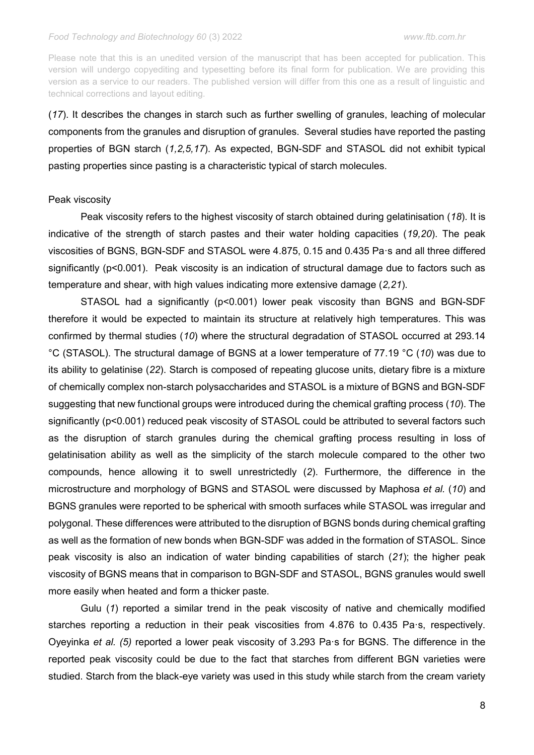Please note that this is an unedited version of the manuscript that has been accepted for publication. This version will undergo copyediting and typesetting before its final form for publication. We are providing this version as a service to our readers. The published version will differ from this one as a result of linguistic and technical corrections and layout editing.

(*17*). It describes the changes in starch such as further swelling of granules, leaching of molecular components from the granules and disruption of granules. Several studies have reported the pasting properties of BGN starch (*1,2,5,17*). As expected, BGN-SDF and STASOL did not exhibit typical pasting properties since pasting is a characteristic typical of starch molecules.

### Peak viscosity

Peak viscosity refers to the highest viscosity of starch obtained during gelatinisation (*18*). It is indicative of the strength of starch pastes and their water holding capacities (*19,20*). The peak viscosities of BGNS, BGN-SDF and STASOL were 4.875, 0.15 and 0.435 Pa·s and all three differed significantly (p<0.001). Peak viscosity is an indication of structural damage due to factors such as temperature and shear, with high values indicating more extensive damage (*2,21*).

STASOL had a significantly (p<0.001) lower peak viscosity than BGNS and BGN-SDF therefore it would be expected to maintain its structure at relatively high temperatures. This was confirmed by thermal studies (*10*) where the structural degradation of STASOL occurred at 293.14 °C (STASOL). The structural damage of BGNS at a lower temperature of 77.19 °C (*10*) was due to its ability to gelatinise (*22*). Starch is composed of repeating glucose units, dietary fibre is a mixture of chemically complex non-starch polysaccharides and STASOL is a mixture of BGNS and BGN-SDF suggesting that new functional groups were introduced during the chemical grafting process (*10*). The significantly (p<0.001) reduced peak viscosity of STASOL could be attributed to several factors such as the disruption of starch granules during the chemical grafting process resulting in loss of gelatinisation ability as well as the simplicity of the starch molecule compared to the other two compounds, hence allowing it to swell unrestrictedly (*2*). Furthermore, the difference in the microstructure and morphology of BGNS and STASOL were discussed by Maphosa *et al.* (*10*) and BGNS granules were reported to be spherical with smooth surfaces while STASOL was irregular and polygonal. These differences were attributed to the disruption of BGNS bonds during chemical grafting as well as the formation of new bonds when BGN-SDF was added in the formation of STASOL. Since peak viscosity is also an indication of water binding capabilities of starch (*21*); the higher peak viscosity of BGNS means that in comparison to BGN-SDF and STASOL, BGNS granules would swell more easily when heated and form a thicker paste.

Gulu (*1*) reported a similar trend in the peak viscosity of native and chemically modified starches reporting a reduction in their peak viscosities from 4.876 to 0.435 Pa·s, respectively. Oyeyinka *et al. (5)* reported a lower peak viscosity of 3.293 Pa·s for BGNS. The difference in the reported peak viscosity could be due to the fact that starches from different BGN varieties were studied. Starch from the black-eye variety was used in this study while starch from the cream variety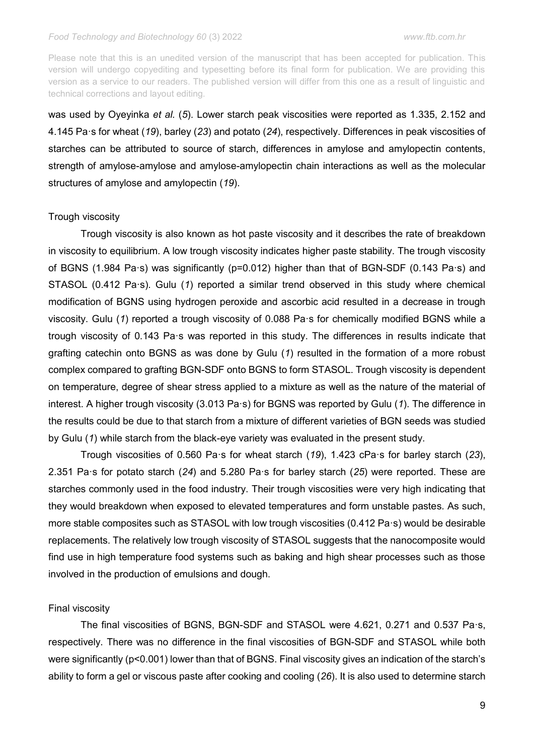Please note that this is an unedited version of the manuscript that has been accepted for publication. This version will undergo copyediting and typesetting before its final form for publication. We are providing this version as a service to our readers. The published version will differ from this one as a result of linguistic and technical corrections and layout editing.

was used by Oyeyinka *et al.* (*5*). Lower starch peak viscosities were reported as 1.335, 2.152 and 4.145 Pa·s for wheat (*19*), barley (*23*) and potato (*24*), respectively. Differences in peak viscosities of starches can be attributed to source of starch, differences in amylose and amylopectin contents, strength of amylose-amylose and amylose-amylopectin chain interactions as well as the molecular structures of amylose and amylopectin (*[19](https://www.sciencedirect.com/science/article/pii/S0268005X17309062#bib81)*).

### Trough viscosity

Trough viscosity is also known as hot paste viscosity and it describes the rate of breakdown in viscosity to equilibrium. A low trough viscosity indicates higher paste stability. The trough viscosity of BGNS (1.984 Pa·s) was significantly (p=0.012) higher than that of BGN-SDF (0.143 Pa·s) and STASOL (0.412 Pa·s). Gulu (*1*) reported a similar trend observed in this study where chemical modification of BGNS using hydrogen peroxide and ascorbic acid resulted in a decrease in trough viscosity. Gulu (*1*) reported a trough viscosity of 0.088 Pa·s for chemically modified BGNS while a trough viscosity of 0.143 Pa·s was reported in this study. The differences in results indicate that grafting catechin onto BGNS as was done by Gulu (*1*) resulted in the formation of a more robust complex compared to grafting BGN-SDF onto BGNS to form STASOL. Trough viscosity is dependent on temperature, degree of shear stress applied to a mixture as well as the nature of the material of interest. A higher trough viscosity (3.013 Pa·s) for BGNS was reported by Gulu (*1*). The difference in the results could be due to that starch from a mixture of different varieties of BGN seeds was studied by Gulu (*1*) while starch from the black-eye variety was evaluated in the present study.

Trough viscosities of 0.560 Pa·s for wheat starch (*19*), 1.423 cPa·s for barley starch (*23*), 2.351 Pa·s for potato starch (*24*) and 5.280 Pa·s for barley starch (*25*) were reported. These are starches commonly used in the food industry. Their trough viscosities were very high indicating that they would breakdown when exposed to elevated temperatures and form unstable pastes. As such, more stable composites such as STASOL with low trough viscosities (0.412 Pa·s) would be desirable replacements. The relatively low trough viscosity of STASOL suggests that the nanocomposite would find use in high temperature food systems such as baking and high shear processes such as those involved in the production of emulsions and dough.

### Final viscosity

The final viscosities of BGNS, BGN-SDF and STASOL were 4.621, 0.271 and 0.537 Pa·s, respectively. There was no difference in the final viscosities of BGN-SDF and STASOL while both were significantly (p<0.001) lower than that of BGNS. Final viscosity gives an indication of the starch's ability to form a gel or viscous paste after cooking and cooling (*26*). It is also used to determine starch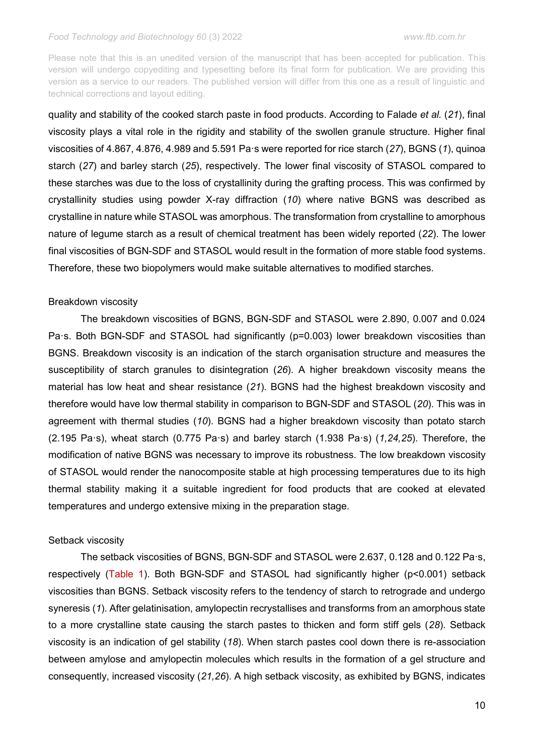Please note that this is an unedited version of the manuscript that has been accepted for publication. This version will undergo copyediting and typesetting before its final form for publication. We are providing this version as a service to our readers. The published version will differ from this one as a result of linguistic and technical corrections and layout editing.

quality and stability of the cooked starch paste in food products. According to Falade *et al.* (*21*), final viscosity plays a vital role in the rigidity and stability of the swollen granule structure. Higher final viscosities of 4.867, 4.876, 4.989 and 5.591 Pa·s were reported for rice starch (*27*), BGNS (*1*), quinoa starch (*27*) and barley starch (*25*), respectively. The lower final viscosity of STASOL compared to these starches was due to the loss of crystallinity during the grafting process. This was confirmed by crystallinity studies using powder X-ray diffraction (*10*) where native BGNS was described as crystalline in nature while STASOL was amorphous. The transformation from crystalline to amorphous nature of legume starch as a result of chemical treatment has been widely reported (*22*). The lower final viscosities of BGN-SDF and STASOL would result in the formation of more stable food systems. Therefore, these two biopolymers would make suitable alternatives to modified starches.

### Breakdown viscosity

The breakdown viscosities of BGNS, BGN-SDF and STASOL were 2.890, 0.007 and 0.024 Pa·s. Both BGN-SDF and STASOL had significantly (p=0.003) lower breakdown viscosities than BGNS. Breakdown viscosity is an indication of the starch organisation structure and measures the susceptibility of starch granules to disintegration (*26*). A higher breakdown viscosity means the material has low heat and shear resistance (*21*). BGNS had the highest breakdown viscosity and therefore would have low thermal stability in comparison to BGN-SDF and STASOL (*20*). This was in agreement with thermal studies (*10*). BGNS had a higher breakdown viscosity than potato starch (2.195 Pa·s), wheat starch (0.775 Pa·s) and barley starch (1.938 Pa·s) (*1,24,25*). Therefore, the modification of native BGNS was necessary to improve its robustness. The low breakdown viscosity of STASOL would render the nanocomposite stable at high processing temperatures due to its high thermal stability making it a suitable ingredient for food products that are cooked at elevated temperatures and undergo extensive mixing in the preparation stage.

### Setback viscosity

The setback viscosities of BGNS, BGN-SDF and STASOL were 2.637, 0.128 and 0.122 Pa·s, respectively (Table 1). Both BGN-SDF and STASOL had significantly higher (p<0.001) setback viscosities than BGNS. Setback viscosity refers to the tendency of starch to retrograde and undergo syneresis (*1*). After gelatinisation, amylopectin recrystallises and transforms from an amorphous state to a more crystalline state causing the starch pastes to thicken and form stiff gels (*28*). Setback viscosity is an indication of gel stability (*18*). When starch pastes cool down there is re-association between amylose and amylopectin molecules which results in the formation of a gel structure and consequently, increased viscosity (*21,26*). A high setback viscosity, as exhibited by BGNS, indicates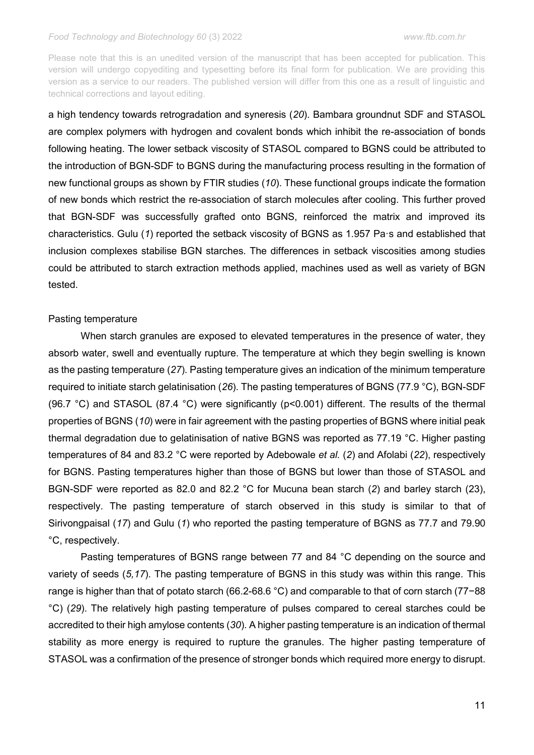Please note that this is an unedited version of the manuscript that has been accepted for publication. This version will undergo copyediting and typesetting before its final form for publication. We are providing this version as a service to our readers. The published version will differ from this one as a result of linguistic and technical corrections and layout editing.

a high tendency towards retrogradation and syneresis (*20*). Bambara groundnut SDF and STASOL are complex polymers with hydrogen and covalent bonds which inhibit the re-association of bonds following heating. The lower setback viscosity of STASOL compared to BGNS could be attributed to the introduction of BGN-SDF to BGNS during the manufacturing process resulting in the formation of new functional groups as shown by FTIR studies (*10*). These functional groups indicate the formation of new bonds which restrict the re-association of starch molecules after cooling. This further proved that BGN-SDF was successfully grafted onto BGNS, reinforced the matrix and improved its characteristics. Gulu (*1*) reported the setback viscosity of BGNS as 1.957 Pa·s and established that inclusion complexes stabilise BGN starches. The differences in setback viscosities among studies could be attributed to starch extraction methods applied, machines used as well as variety of BGN tested.

### Pasting temperature

When starch granules are exposed to elevated temperatures in the presence of water, they absorb water, swell and eventually rupture. The temperature at which they begin swelling is known as the pasting temperature (*27*). Pasting temperature gives an indication of the minimum temperature required to initiate starch gelatinisation (*26*). The pasting temperatures of BGNS (77.9 °C), BGN-SDF (96.7 °C) and STASOL (87.4 °C) were significantly (p<0.001) different. The results of the thermal properties of BGNS (*10*) were in fair agreement with the pasting properties of BGNS where initial peak thermal degradation due to gelatinisation of native BGNS was reported as 77.19 °C. Higher pasting temperatures of 84 and 83.2 °C were reported by Adebowale *et al.* (*2*) and Afolabi (*22*), respectively for BGNS. Pasting temperatures higher than those of BGNS but lower than those of STASOL and BGN-SDF were reported as 82.0 and 82.2 °C for Mucuna bean starch (*2*) and barley starch (23), respectively. The pasting temperature of starch observed in this study is similar to that of Sirivongpaisal (*17*) and Gulu (*1*) who reported the pasting temperature of BGNS as 77.7 and 79.90 °C, respectively.

Pasting temperatures of BGNS range between 77 and 84 °C depending on the source and variety of seeds (*5,17*). The pasting temperature of BGNS in this study was within this range. This range is higher than that of potato starch (66.2-68.6 °C) and comparable to that of corn starch (77−88 °C) (*29*). The relatively high pasting temperature of pulses compared to cereal starches could be accredited to their high amylose contents (*30*). A higher pasting temperature is an indication of thermal stability as more energy is required to rupture the granules. The higher pasting temperature of STASOL was a confirmation of the presence of stronger bonds which required more energy to disrupt.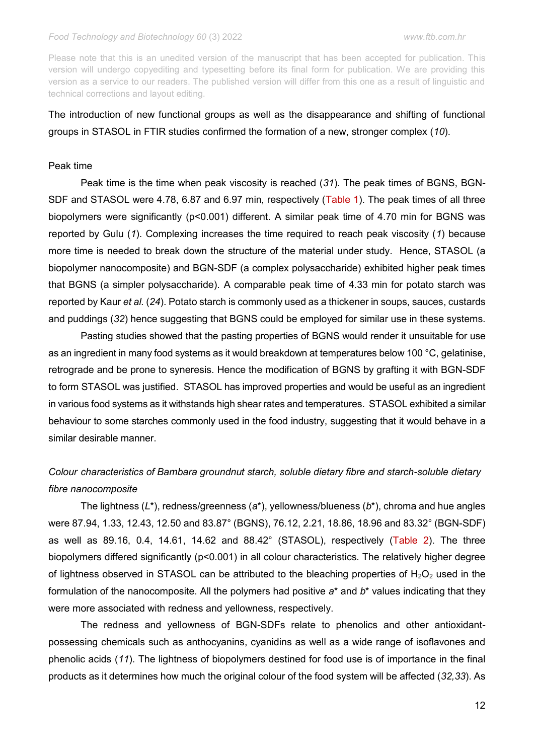Please note that this is an unedited version of the manuscript that has been accepted for publication. This version will undergo copyediting and typesetting before its final form for publication. We are providing this version as a service to our readers. The published version will differ from this one as a result of linguistic and technical corrections and layout editing.

# The introduction of new functional groups as well as the disappearance and shifting of functional groups in STASOL in FTIR studies confirmed the formation of a new, stronger complex (*10*).

### Peak time

Peak time is the time when peak viscosity is reached (*31*). The peak times of BGNS, BGN-SDF and STASOL were 4.78, 6.87 and 6.97 min, respectively (Table 1). The peak times of all three biopolymers were significantly (p<0.001) different. A similar peak time of 4.70 min for BGNS was reported by Gulu (*1*). Complexing increases the time required to reach peak viscosity (*1*) because more time is needed to break down the structure of the material under study. Hence, STASOL (a biopolymer nanocomposite) and BGN-SDF (a complex polysaccharide) exhibited higher peak times that BGNS (a simpler polysaccharide). A comparable peak time of 4.33 min for potato starch was reported by Kaur *et al.* (*24*). Potato starch is commonly used as a thickener in soups, sauces, custards and puddings (*32*) hence suggesting that BGNS could be employed for similar use in these systems.

Pasting studies showed that the pasting properties of BGNS would render it unsuitable for use as an ingredient in many food systems as it would breakdown at temperatures below 100 °C, gelatinise, retrograde and be prone to syneresis. Hence the modification of BGNS by grafting it with BGN-SDF to form STASOL was justified. STASOL has improved properties and would be useful as an ingredient in various food systems as it withstands high shear rates and temperatures. STASOL exhibited a similar behaviour to some starches commonly used in the food industry, suggesting that it would behave in a similar desirable manner.

# *Colour characteristics of Bambara groundnut starch, soluble dietary fibre and starch-soluble dietary fibre nanocomposite*

The lightness (*L*\*), redness/greenness (*a*\*), yellowness/blueness (*b*\*), chroma and hue angles were 87.94, 1.33, 12.43, 12.50 and 83.87° (BGNS), 76.12, 2.21, 18.86, 18.96 and 83.32° (BGN-SDF) as well as 89.16, 0.4, 14.61, 14.62 and 88.42° (STASOL), respectively (Table 2). The three biopolymers differed significantly (p<0.001) in all colour characteristics. The relatively higher degree of lightness observed in STASOL can be attributed to the bleaching properties of  $H_2O_2$  used in the formulation of the nanocomposite. All the polymers had positive *a*\* and *b*\* values indicating that they were more associated with redness and yellowness, respectively.

The redness and yellowness of BGN-SDFs relate to phenolics and other antioxidantpossessing chemicals such as anthocyanins, cyanidins as well as a wide range of isoflavones and phenolic acids (*11*). The lightness of biopolymers destined for food use is of importance in the final products as it determines how much the original colour of the food system will be affected (*32,33*). As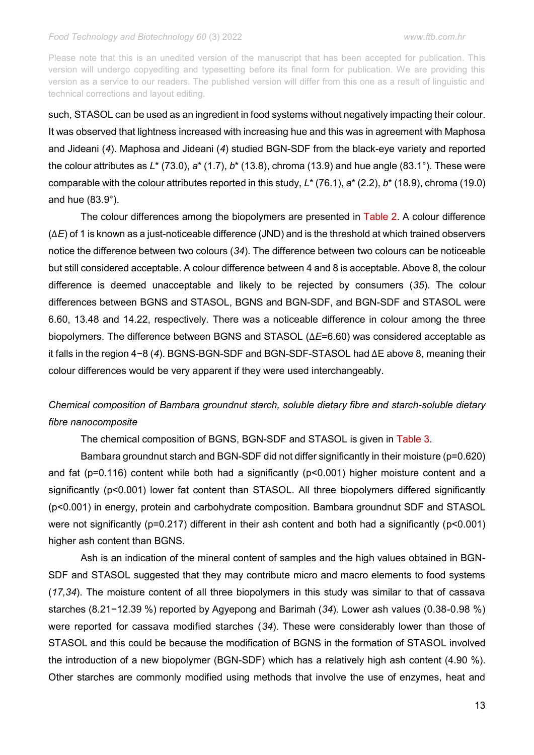Please note that this is an unedited version of the manuscript that has been accepted for publication. This version will undergo copyediting and typesetting before its final form for publication. We are providing this version as a service to our readers. The published version will differ from this one as a result of linguistic and technical corrections and layout editing.

such, STASOL can be used as an ingredient in food systems without negatively impacting their colour. It was observed that lightness increased with increasing hue and this was in agreement with Maphosa and Jideani (*4*). Maphosa and Jideani (*4*) studied BGN-SDF from the black-eye variety and reported the colour attributes as *L*\* (73.0), *a*\* (1.7), *b*\* (13.8), chroma (13.9) and hue angle (83.1°). These were comparable with the colour attributes reported in this study, *L*\* (76.1), *a*\* (2.2), *b*\* (18.9), chroma (19.0) and hue (83.9°).

The colour differences among the biopolymers are presented in Table 2. A colour difference (∆*E*) of 1 is known as a just-noticeable difference (JND) and is the threshold at which trained observers notice the difference between two colours (*34*). The difference between two colours can be noticeable but still considered acceptable. A colour difference between 4 and 8 is acceptable. Above 8, the colour difference is deemed unacceptable and likely to be rejected by consumers (*35*). The colour differences between BGNS and STASOL, BGNS and BGN-SDF, and BGN-SDF and STASOL were 6.60, 13.48 and 14.22, respectively. There was a noticeable difference in colour among the three biopolymers. The difference between BGNS and STASOL (∆*E*=6.60) was considered acceptable as it falls in the region 4−8 (*4*). BGNS-BGN-SDF and BGN-SDF-STASOL had ∆E above 8, meaning their colour differences would be very apparent if they were used interchangeably.

# *Chemical composition of Bambara groundnut starch, soluble dietary fibre and starch-soluble dietary fibre nanocomposite*

The chemical composition of BGNS, BGN-SDF and STASOL is given in Table 3.

Bambara groundnut starch and BGN-SDF did not differ significantly in their moisture (p=0.620) and fat (p=0.116) content while both had a significantly (p<0.001) higher moisture content and a significantly (p<0.001) lower fat content than STASOL. All three biopolymers differed significantly (p<0.001) in energy, protein and carbohydrate composition. Bambara groundnut SDF and STASOL were not significantly (p=0.217) different in their ash content and both had a significantly (p<0.001) higher ash content than BGNS.

Ash is an indication of the mineral content of samples and the high values obtained in BGN-SDF and STASOL suggested that they may contribute micro and macro elements to food systems (*17,34*). The moisture content of all three biopolymers in this study was similar to that of cassava starches (8.21−12.39 %) reported by Agyepong and Barimah (*34*). Lower ash values (0.38-0.98 %) were reported for cassava modified starches (*34*). These were considerably lower than those of STASOL and this could be because the modification of BGNS in the formation of STASOL involved the introduction of a new biopolymer (BGN-SDF) which has a relatively high ash content (4.90 %). Other starches are commonly modified using methods that involve the use of enzymes, heat and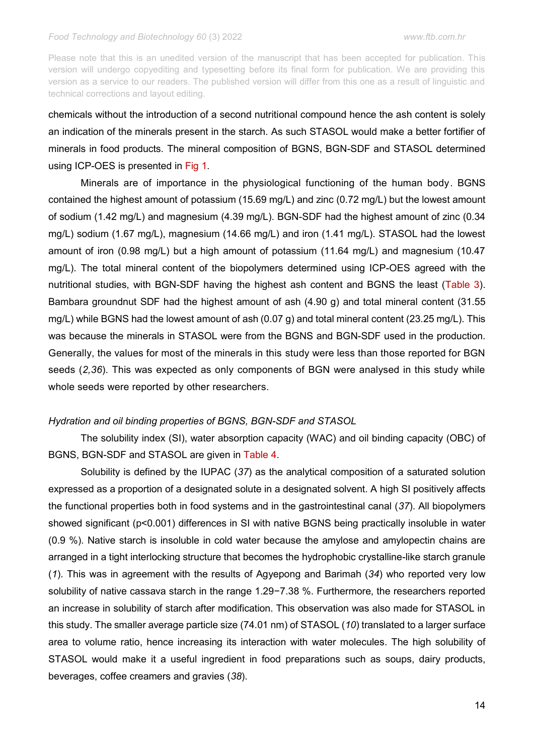chemicals without the introduction of a second nutritional compound hence the ash content is solely an indication of the minerals present in the starch. As such STASOL would make a better fortifier of minerals in food products. The mineral composition of BGNS, BGN-SDF and STASOL determined using ICP-OES is presented in Fig 1.

Minerals are of importance in the physiological functioning of the human body. BGNS contained the highest amount of potassium (15.69 mg/L) and zinc (0.72 mg/L) but the lowest amount of sodium (1.42 mg/L) and magnesium (4.39 mg/L). BGN-SDF had the highest amount of zinc (0.34 mg/L) sodium (1.67 mg/L), magnesium (14.66 mg/L) and iron (1.41 mg/L). STASOL had the lowest amount of iron (0.98 mg/L) but a high amount of potassium (11.64 mg/L) and magnesium (10.47 mg/L). The total mineral content of the biopolymers determined using ICP-OES agreed with the nutritional studies, with BGN-SDF having the highest ash content and BGNS the least (Table 3). Bambara groundnut SDF had the highest amount of ash (4.90 g) and total mineral content (31.55 mg/L) while BGNS had the lowest amount of ash (0.07 g) and total mineral content (23.25 mg/L). This was because the minerals in STASOL were from the BGNS and BGN-SDF used in the production. Generally, the values for most of the minerals in this study were less than those reported for BGN seeds (*2,36*). This was expected as only components of BGN were analysed in this study while whole seeds were reported by other researchers.

### *Hydration and oil binding properties of BGNS, BGN-SDF and STASOL*

The solubility index (SI), water absorption capacity (WAC) and oil binding capacity (OBC) of BGNS, BGN-SDF and STASOL are given in Table 4.

Solubility is defined by the IUPAC (*37*) as the analytical composition of a saturated solution expressed as a proportion of a designated solute in a designated solvent. A high SI positively affects the functional properties both in food systems and in the gastrointestinal canal (*37*). All biopolymers showed significant (p<0.001) differences in SI with native BGNS being practically insoluble in water (0.9 %). Native starch is insoluble in cold water because the amylose and amylopectin chains are arranged in a tight interlocking structure that becomes the hydrophobic crystalline-like starch granule (*1*). This was in agreement with the results of Agyepong and Barimah (*34*) who reported very low solubility of native cassava starch in the range 1.29−7.38 %. Furthermore, the researchers reported an increase in solubility of starch after modification. This observation was also made for STASOL in this study. The smaller average particle size (74.01 nm) of STASOL (*10*) translated to a larger surface area to volume ratio, hence increasing its interaction with water molecules. The high solubility of STASOL would make it a useful ingredient in food preparations such as soups, dairy products, beverages, coffee creamers and gravies (*38*).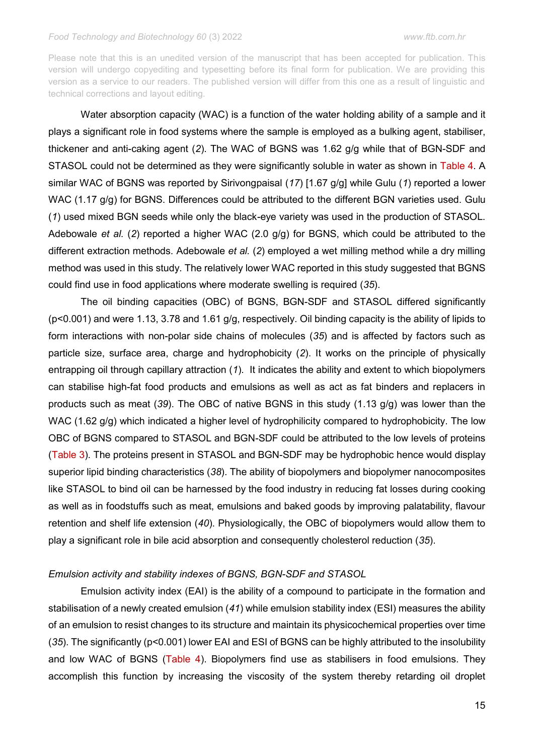Please note that this is an unedited version of the manuscript that has been accepted for publication. This version will undergo copyediting and typesetting before its final form for publication. We are providing this version as a service to our readers. The published version will differ from this one as a result of linguistic and technical corrections and layout editing.

Water absorption capacity (WAC) is a function of the water holding ability of a sample and it plays a significant role in food systems where the sample is employed as a bulking agent, stabiliser, thickener and anti-caking agent (*2*). The WAC of BGNS was 1.62 g/g while that of BGN-SDF and STASOL could not be determined as they were significantly soluble in water as shown in Table 4. A similar WAC of BGNS was reported by Sirivongpaisal (*17*) [1.67 g/g] while Gulu (*1*) reported a lower WAC (1.17 g/g) for BGNS. Differences could be attributed to the different BGN varieties used. Gulu (*1*) used mixed BGN seeds while only the black-eye variety was used in the production of STASOL. Adebowale *et al.* (*2*) reported a higher WAC (2.0 g/g) for BGNS, which could be attributed to the different extraction methods. Adebowale *et al.* (*2*) employed a wet milling method while a dry milling method was used in this study. The relatively lower WAC reported in this study suggested that BGNS could find use in food applications where moderate swelling is required (*35*).

The oil binding capacities (OBC) of BGNS, BGN-SDF and STASOL differed significantly (p<0.001) and were 1.13, 3.78 and 1.61 g/g, respectively. Oil binding capacity is the ability of lipids to form interactions with non-polar side chains of molecules (*35*) and is affected by factors such as particle size, surface area, charge and hydrophobicity (*2*). It works on the principle of physically entrapping oil through capillary attraction (*1*). It indicates the ability and extent to which biopolymers can stabilise high-fat food products and emulsions as well as act as fat binders and replacers in products such as meat (*39*). The OBC of native BGNS in this study (1.13 g/g) was lower than the WAC (1.62 g/g) which indicated a higher level of hydrophilicity compared to hydrophobicity. The low OBC of BGNS compared to STASOL and BGN-SDF could be attributed to the low levels of proteins (Table 3). The proteins present in STASOL and BGN-SDF may be hydrophobic hence would display superior lipid binding characteristics (*38*). The ability of biopolymers and biopolymer nanocomposites like STASOL to bind oil can be harnessed by the food industry in reducing fat losses during cooking as well as in foodstuffs such as meat, emulsions and baked goods by improving palatability, flavour retention and shelf life extension (*40*). Physiologically, the OBC of biopolymers would allow them to play a significant role in bile acid absorption and consequently cholesterol reduction (*35*).

### *Emulsion activity and stability indexes of BGNS, BGN-SDF and STASOL*

Emulsion activity index (EAI) is the ability of a compound to participate in the formation and stabilisation of a newly created emulsion (*41*) while emulsion stability index (ESI) measures the ability of an emulsion to resist changes to its structure and maintain its physicochemical properties over time (*35*). The significantly (p<0.001) lower EAI and ESI of BGNS can be highly attributed to the insolubility and low WAC of BGNS (Table 4). Biopolymers find use as stabilisers in food emulsions. They accomplish this function by increasing the viscosity of the system thereby retarding oil droplet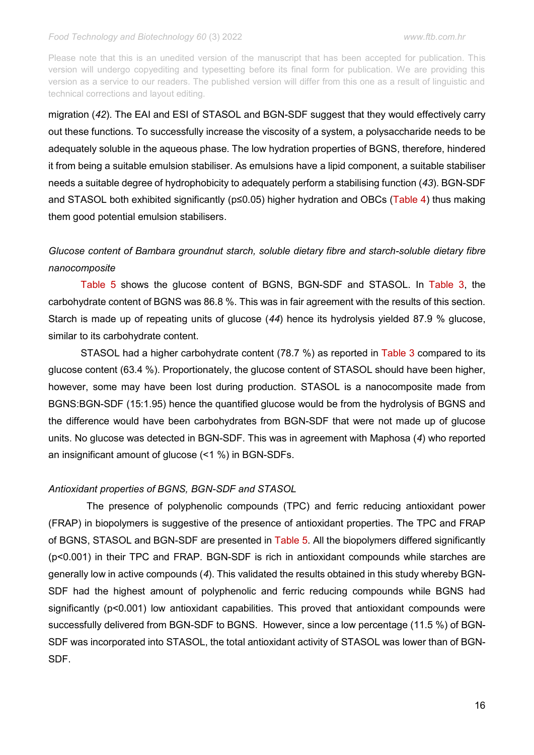Please note that this is an unedited version of the manuscript that has been accepted for publication. This version will undergo copyediting and typesetting before its final form for publication. We are providing this version as a service to our readers. The published version will differ from this one as a result of linguistic and technical corrections and layout editing.

migration (*42*). The EAI and ESI of STASOL and BGN-SDF suggest that they would effectively carry out these functions. To successfully increase the viscosity of a system, a polysaccharide needs to be adequately soluble in the aqueous phase. The low hydration properties of BGNS, therefore, hindered it from being a suitable emulsion stabiliser. As emulsions have a lipid component, a suitable stabiliser needs a suitable degree of hydrophobicity to adequately perform a stabilising function (*43*). BGN-SDF and STASOL both exhibited significantly (p≤0.05) higher hydration and OBCs (Table 4) thus making them good potential emulsion stabilisers.

# *Glucose content of Bambara groundnut starch, soluble dietary fibre and starch-soluble dietary fibre nanocomposite*

Table 5 shows the glucose content of BGNS, BGN-SDF and STASOL. In Table 3, the carbohydrate content of BGNS was 86.8 %. This was in fair agreement with the results of this section. Starch is made up of repeating units of glucose (*44*) hence its hydrolysis yielded 87.9 % glucose, similar to its carbohydrate content.

STASOL had a higher carbohydrate content (78.7 %) as reported in Table 3 compared to its glucose content (63.4 %). Proportionately, the glucose content of STASOL should have been higher, however, some may have been lost during production. STASOL is a nanocomposite made from BGNS:BGN-SDF (15:1.95) hence the quantified glucose would be from the hydrolysis of BGNS and the difference would have been carbohydrates from BGN-SDF that were not made up of glucose units. No glucose was detected in BGN-SDF. This was in agreement with Maphosa (*4*) who reported an insignificant amount of glucose (<1 %) in BGN-SDFs.

# *Antioxidant properties of BGNS, BGN-SDF and STASOL*

The presence of polyphenolic compounds (TPC) and ferric reducing antioxidant power (FRAP) in biopolymers is suggestive of the presence of antioxidant properties. The TPC and FRAP of BGNS, STASOL and BGN-SDF are presented in Table 5. All the biopolymers differed significantly (p<0.001) in their TPC and FRAP. BGN-SDF is rich in antioxidant compounds while starches are generally low in active compounds (*4*). This validated the results obtained in this study whereby BGN-SDF had the highest amount of polyphenolic and ferric reducing compounds while BGNS had significantly (p<0.001) low antioxidant capabilities. This proved that antioxidant compounds were successfully delivered from BGN-SDF to BGNS. However, since a low percentage (11.5 %) of BGN-SDF was incorporated into STASOL, the total antioxidant activity of STASOL was lower than of BGN-SDF.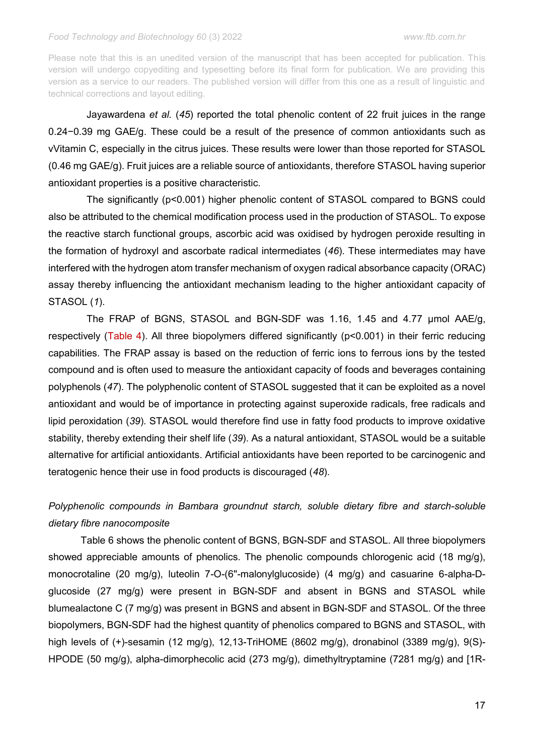Please note that this is an unedited version of the manuscript that has been accepted for publication. This version will undergo copyediting and typesetting before its final form for publication. We are providing this version as a service to our readers. The published version will differ from this one as a result of linguistic and technical corrections and layout editing.

Jayawardena *et al.* (*45*) reported the total phenolic content of 22 fruit juices in the range 0.24−0.39 mg GAE/g. These could be a result of the presence of common antioxidants such as vVitamin C, especially in the citrus juices. These results were lower than those reported for STASOL (0.46 mg GAE/g). Fruit juices are a reliable source of antioxidants, therefore STASOL having superior antioxidant properties is a positive characteristic.

The significantly (p<0.001) higher phenolic content of STASOL compared to BGNS could also be attributed to the chemical modification process used in the production of STASOL. To expose the reactive starch functional groups, ascorbic acid was oxidised by hydrogen peroxide resulting in the formation of hydroxyl and ascorbate radical intermediates (*46*). These intermediates may have interfered with the hydrogen atom transfer mechanism of oxygen radical absorbance capacity (ORAC) assay thereby influencing the antioxidant mechanism leading to the higher antioxidant capacity of STASOL (*1*).

The FRAP of BGNS, STASOL and BGN-SDF was 1.16, 1.45 and 4.77 μmol AAE/g, respectively (Table 4). All three biopolymers differed significantly (p<0.001) in their ferric reducing capabilities. The FRAP assay is based on the reduction of ferric ions to ferrous ions by the tested compound and is often used to measure the antioxidant capacity of foods and beverages containing polyphenols (*47*). The polyphenolic content of STASOL suggested that it can be exploited as a novel antioxidant and would be of importance in protecting against superoxide radicals, free radicals and lipid peroxidation (*39*). STASOL would therefore find use in fatty food products to improve oxidative stability, thereby extending their shelf life (*39*). As a natural antioxidant, STASOL would be a suitable alternative for artificial antioxidants. Artificial antioxidants have been reported to be carcinogenic and teratogenic hence their use in food products is discouraged (*48*).

# *Polyphenolic compounds in Bambara groundnut starch, soluble dietary fibre and starch-soluble dietary fibre nanocomposite*

Table 6 shows the phenolic content of BGNS, BGN-SDF and STASOL. All three biopolymers showed appreciable amounts of phenolics. The phenolic compounds chlorogenic acid (18 mg/g), monocrotaline (20 mg/g), luteolin 7-O-(6''-malonylglucoside) (4 mg/g) and casuarine 6-alpha-Dglucoside (27 mg/g) were present in BGN-SDF and absent in BGNS and STASOL while blumealactone C (7 mg/g) was present in BGNS and absent in BGN-SDF and STASOL. Of the three biopolymers, BGN-SDF had the highest quantity of phenolics compared to BGNS and STASOL, with high levels of (+)-sesamin (12 mg/g), 12,13-TriHOME (8602 mg/g), dronabinol (3389 mg/g), 9(S)- HPODE (50 mg/g), alpha-dimorphecolic acid (273 mg/g), dimethyltryptamine (7281 mg/g) and [1R-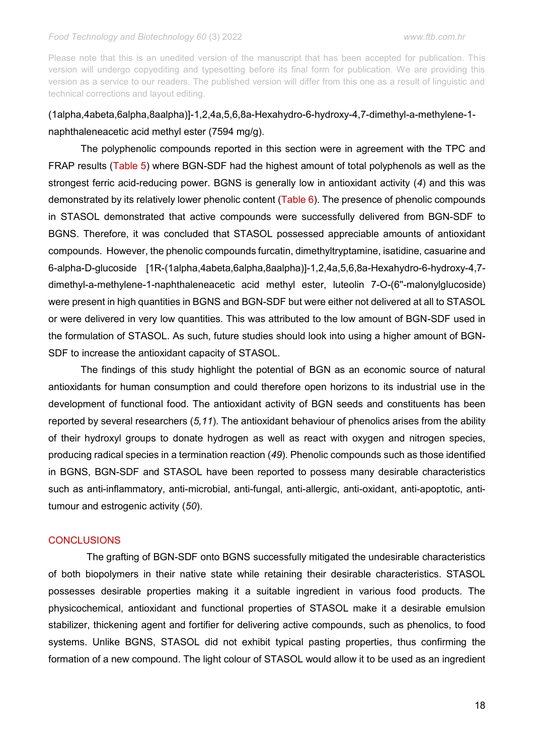Please note that this is an unedited version of the manuscript that has been accepted for publication. This version will undergo copyediting and typesetting before its final form for publication. We are providing this version as a service to our readers. The published version will differ from this one as a result of linguistic and technical corrections and layout editing.

# (1alpha,4abeta,6alpha,8aalpha)]-1,2,4a,5,6,8a-Hexahydro-6-hydroxy-4,7-dimethyl-a-methylene-1 naphthaleneacetic acid methyl ester (7594 mg/g).

The polyphenolic compounds reported in this section were in agreement with the TPC and FRAP results (Table 5) where BGN-SDF had the highest amount of total polyphenols as well as the strongest ferric acid-reducing power. BGNS is generally low in antioxidant activity (*4*) and this was demonstrated by its relatively lower phenolic content (Table 6). The presence of phenolic compounds in STASOL demonstrated that active compounds were successfully delivered from BGN-SDF to BGNS. Therefore, it was concluded that STASOL possessed appreciable amounts of antioxidant compounds. However, the phenolic compounds furcatin, dimethyltryptamine, isatidine, casuarine and 6-alpha-D-glucoside [1R-(1alpha,4abeta,6alpha,8aalpha)]-1,2,4a,5,6,8a-Hexahydro-6-hydroxy-4,7 dimethyl-a-methylene-1-naphthaleneacetic acid methyl ester, luteolin 7-O-(6''-malonylglucoside) were present in high quantities in BGNS and BGN-SDF but were either not delivered at all to STASOL or were delivered in very low quantities. This was attributed to the low amount of BGN-SDF used in the formulation of STASOL. As such, future studies should look into using a higher amount of BGN-SDF to increase the antioxidant capacity of STASOL.

The findings of this study highlight the potential of BGN as an economic source of natural antioxidants for human consumption and could therefore open horizons to its industrial use in the development of functional food. The antioxidant activity of BGN seeds and constituents has been reported by several researchers (*5,11*). The antioxidant behaviour of phenolics arises from the ability of their hydroxyl groups to donate hydrogen as well as react with oxygen and nitrogen species, producing radical species in a termination reaction (*49*). Phenolic compounds such as those identified in BGNS, BGN-SDF and STASOL have been reported to possess many desirable characteristics such as anti-inflammatory, anti-microbial, anti-fungal, anti-allergic, anti-oxidant, anti-apoptotic, antitumour and estrogenic activity (*50*).

### **CONCLUSIONS**

The grafting of BGN-SDF onto BGNS successfully mitigated the undesirable characteristics of both biopolymers in their native state while retaining their desirable characteristics. STASOL possesses desirable properties making it a suitable ingredient in various food products. The physicochemical, antioxidant and functional properties of STASOL make it a desirable emulsion stabilizer, thickening agent and fortifier for delivering active compounds, such as phenolics, to food systems. Unlike BGNS, STASOL did not exhibit typical pasting properties, thus confirming the formation of a new compound. The light colour of STASOL would allow it to be used as an ingredient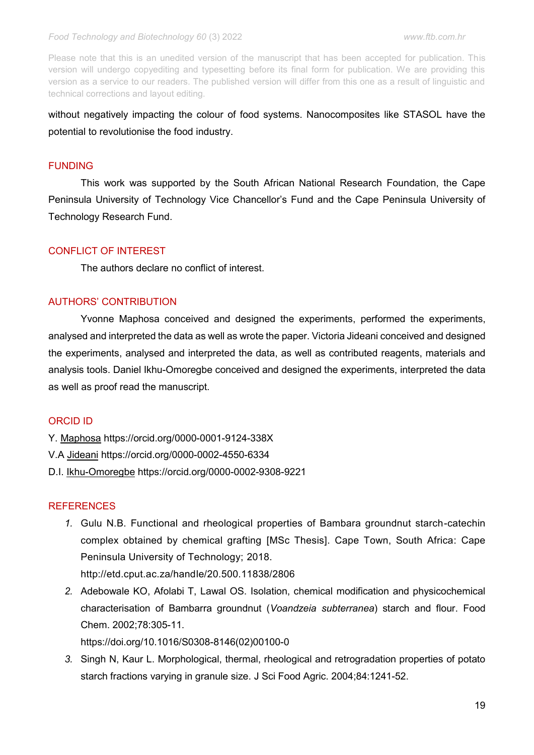Please note that this is an unedited version of the manuscript that has been accepted for publication. This version will undergo copyediting and typesetting before its final form for publication. We are providing this version as a service to our readers. The published version will differ from this one as a result of linguistic and technical corrections and layout editing.

without negatively impacting the colour of food systems. Nanocomposites like STASOL have the potential to revolutionise the food industry.

# **FUNDING**

This work was supported by the South African National Research Foundation, the Cape Peninsula University of Technology Vice Chancellor's Fund and the Cape Peninsula University of Technology Research Fund.

# CONFLICT OF INTEREST

The authors declare no conflict of interest.

# AUTHORS' CONTRIBUTION

Yvonne Maphosa conceived and designed the experiments, performed the experiments, analysed and interpreted the data as well as wrote the paper. Victoria Jideani conceived and designed the experiments, analysed and interpreted the data, as well as contributed reagents, materials and analysis tools. Daniel Ikhu-Omoregbe conceived and designed the experiments, interpreted the data as well as proof read the manuscript.

# ORCID ID

- Y. Maphosa https://orcid.org/0000-0001-9124-338X
- V.A Jideani <https://orcid.org/0000-0002-4550-6334>
- D.I. Ikhu-Omoregbe https://orcid.org/0000-0002-9308-9221

# **REFERENCES**

- *1.* Gulu N.B. Functional and rheological properties of Bambara groundnut starch-catechin complex obtained by chemical grafting [MSc Thesis]. Cape Town, South Africa: Cape Peninsula University of Technology; 2018.
	- http://etd.cput.ac.za/handle/20.500.11838/2806
- *2.* Adebowale KO, Afolabi T, Lawal OS. Isolation, chemical modification and physicochemical characterisation of Bambarra groundnut (*Voandzeia subterranea*) starch and flour. Food Chem. 2002;78:305-11.

https://doi.org/10.1016/S0308-8146(02)00100-0

*3.* Singh N, Kaur L. Morphological, thermal, rheological and retrogradation properties of potato starch fractions varying in granule size. J Sci Food Agric. 2004;84:1241-52.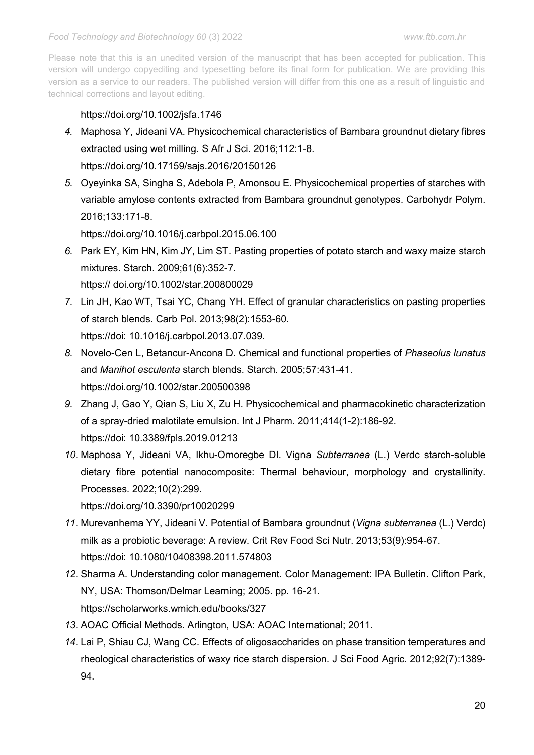# https://doi.org/10.1002/jsfa.1746

- *4.* Maphosa Y, Jideani VA. Physicochemical characteristics of Bambara groundnut dietary fibres extracted using wet milling. S Afr J Sci. 2016;112:1-8. https://doi.org/10.17159/sajs.2016/20150126
- *5.* Oyeyinka SA, Singha S, Adebola P, Amonsou E. Physicochemical properties of starches with variable amylose contents extracted from Bambara groundnut genotypes. Carbohydr Polym. 2016;133:171-8.

https://doi.org/10.1016/j.carbpol.2015.06.100

- *6.* Park EY, Kim HN, Kim JY, Lim ST. Pasting properties of potato starch and waxy maize starch mixtures. Starch. 2009;61(6):352-7. https:// doi.org/10.1002/star.200800029
- *7.* Lin JH, Kao WT, Tsai YC, Chang YH. Effect of granular characteristics on pasting properties of starch blends. Carb Pol. 2013;98(2):1553-60. https://doi: 10.1016/j.carbpol.2013.07.039.
- *8.* Novelo-Cen L, Betancur-Ancona D. Chemical and functional properties of *Phaseolus lunatus* and *Manihot esculenta* starch blends. Starch. 2005;57:431-41. https://doi.org/10.1002/star.200500398
- *9.* Zhang J, Gao Y, Qian S, Liu X, Zu H. Physicochemical and pharmacokinetic characterization of a spray-dried malotilate emulsion. Int J Pharm. 2011;414(1-2):186-92. https://doi: 10.3389/fpls.2019.01213
- *10.* Maphosa Y, Jideani VA, Ikhu-Omoregbe DI. Vigna *Subterranea* (L.) Verdc starch-soluble dietary fibre potential nanocomposite: Thermal behaviour, morphology and crystallinity. Processes. 2022;10(2):299. https://doi.org/10.3390/pr10020299
- *11.* Murevanhema YY, Jideani V. Potential of Bambara groundnut (*Vigna subterranea* (L.) Verdc) milk as a probiotic beverage: A review. Crit Rev Food Sci Nutr. 2013;53(9):954-67. https://doi: 10.1080/10408398.2011.574803
- *12.* Sharma A. Understanding color management. Color Management: IPA Bulletin. Clifton Park, NY, USA: Thomson/Delmar Learning; 2005. pp. 16-21. https://scholarworks.wmich.edu/books/327
- *13.* AOAC Official Methods. Arlington, USA: AOAC International; 2011.
- *14.* Lai P, Shiau CJ, Wang CC. Effects of oligosaccharides on phase transition temperatures and rheological characteristics of waxy rice starch dispersion. J Sci Food Agric. 2012;92(7):1389- 94.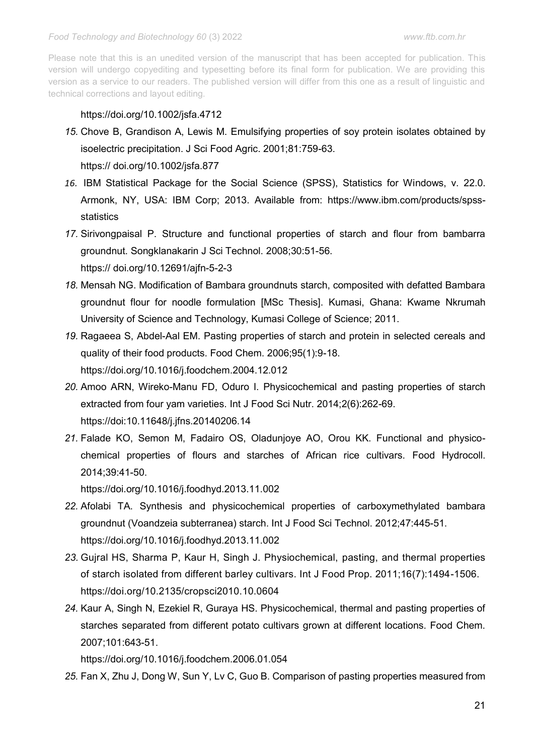# https://doi.org/10.1002/jsfa.4712

*15.* Chove B, Grandison A, Lewis M. Emulsifying properties of soy protein isolates obtained by isoelectric precipitation. J Sci Food Agric. 2001;81:759-63.

# https:// doi.org/10.1002/jsfa.877

- *16.* IBM Statistical Package for the Social Science (SPSS), Statistics for Windows, v. 22.0. Armonk, NY, USA: IBM Corp; 2013. Available from: https://www.ibm.com/products/spssstatistics
- *17.* Sirivongpaisal P. Structure and functional properties of starch and flour from bambarra groundnut. Songklanakarin J Sci Technol. 2008;30:51-56. https:// doi.org/10.12691/ajfn-5-2-3
- *18.* Mensah NG. Modification of Bambara groundnuts starch, composited with defatted Bambara groundnut flour for noodle formulation [MSc Thesis]. Kumasi, Ghana: Kwame Nkrumah University of Science and Technology, Kumasi College of Science; 2011.
- *19.* Ragaeea S, Abdel-Aal EM. Pasting properties of starch and protein in selected cereals and quality of their food products. Food Chem. 2006;95(1):9-18. https://doi.org/10.1016/j.foodchem.2004.12.012
- *20.* Amoo ARN, Wireko-Manu FD, Oduro I. Physicochemical and pasting properties of starch extracted from four yam varieties. Int J Food Sci Nutr. 2014;2(6):262-69. https://doi:10.11648/j.jfns.20140206.14
- *21.* Falade KO, Semon M, Fadairo OS, Oladunjoye AO, Orou KK. Functional and physicochemical properties of flours and starches of African rice cultivars. Food Hydrocoll. 2014;39:41-50.

https://doi.org/10.1016/j.foodhyd.2013.11.002

- *22.* Afolabi TA. Synthesis and physicochemical properties of carboxymethylated bambara groundnut (Voandzeia subterranea) starch. Int J Food Sci Technol. 2012;47:445-51. https://doi.org/10.1016/j.foodhyd.2013.11.002
- *23.* Gujral HS, Sharma P, Kaur H, Singh J. Physiochemical, pasting, and thermal properties of starch isolated from different barley cultivars. Int J Food Prop. 2011;16(7):1494-1506. https://doi.org/10.2135/cropsci2010.10.0604
- *24.* Kaur A, Singh N, Ezekiel R, Guraya HS. Physicochemical, thermal and pasting properties of starches separated from different potato cultivars grown at different locations. Food Chem. 2007;101:643-51.

https://doi.org/10.1016/j.foodchem.2006.01.054

*25.* Fan X, Zhu J, Dong W, Sun Y, Lv C, Guo B. Comparison of pasting properties measured from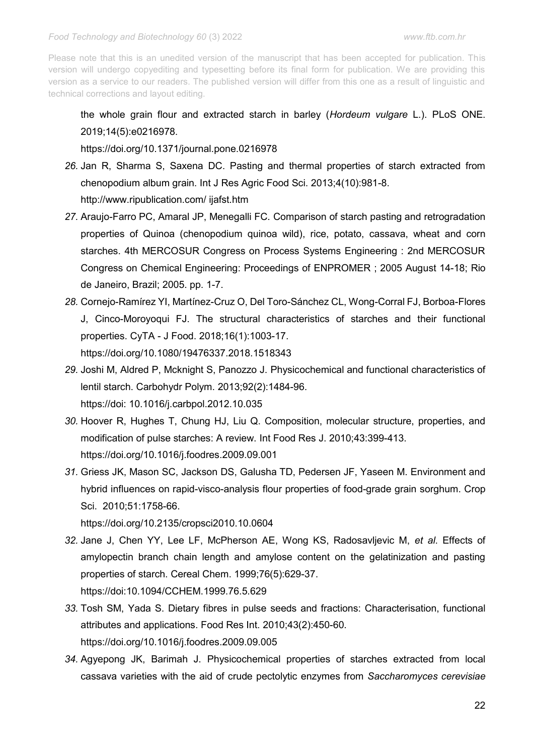# the whole grain flour and extracted starch in barley (*Hordeum vulgare* L.). PLoS ONE. 2019;14(5):e0216978.

https://doi.org/10.1371/journal.pone.0216978

- *26.* Jan R, Sharma S, Saxena DC. Pasting and thermal properties of starch extracted from chenopodium album grain. Int J Res Agric Food Sci. 2013;4(10):981-8. http://www.ripublication.com/ ijafst.htm
- *27.* Araujo-Farro PC, Amaral JP, Menegalli FC. Comparison of starch pasting and retrogradation properties of Quinoa (chenopodium quinoa wild), rice, potato, cassava, wheat and corn starches. 4th MERCOSUR Congress on Process Systems Engineering : 2nd MERCOSUR Congress on Chemical Engineering: Proceedings of ENPROMER ; 2005 August 14-18; Rio de Janeiro, Brazil; 2005. pp. 1-7.
- *28.* Cornejo-Ramírez YI, Martínez-Cruz O, Del Toro-Sánchez CL, Wong-Corral FJ, Borboa-Flores J, Cinco-Moroyoqui FJ. The structural characteristics of starches and their functional properties. CyTA - J Food. 2018;16(1):1003-17. https://doi.org/10.1080/19476337.2018.1518343
- *29.* Joshi M, Aldred P, Mcknight S, Panozzo J. Physicochemical and functional characteristics of lentil starch. Carbohydr Polym. 2013;92(2):1484-96. https://doi: 10.1016/j.carbpol.2012.10.035
- *30.* Hoover R, Hughes T, Chung HJ, Liu Q. Composition, molecular structure, properties, and modification of pulse starches: A review. Int Food Res J. 2010;43:399-413. https://doi.org/10.1016/j.foodres.2009.09.001
- *31.* Griess JK, Mason SC, Jackson DS, Galusha TD, Pedersen JF, Yaseen M. Environment and hybrid influences on rapid-visco-analysis flour properties of food-grade grain sorghum. Crop Sci. 2010;51:1758-66.

https://doi.org/10.2135/cropsci2010.10.0604

- *32.* Jane J, Chen YY, Lee LF, McPherson AE, Wong KS, Radosavljevic M, *et al*. Effects of amylopectin branch chain length and amylose content on the gelatinization and pasting properties of starch. Cereal Chem. 1999;76(5):629-37. https://doi:10.1094/CCHEM.1999.76.5.629
- *33.* Tosh SM, Yada S. Dietary fibres in pulse seeds and fractions: Characterisation, functional attributes and applications. Food Res Int. 2010;43(2):450-60. https://doi.org/10.1016/j.foodres.2009.09.005
- *34.* Agyepong JK, Barimah J. Physicochemical properties of starches extracted from local cassava varieties with the aid of crude pectolytic enzymes from *Saccharomyces cerevisiae*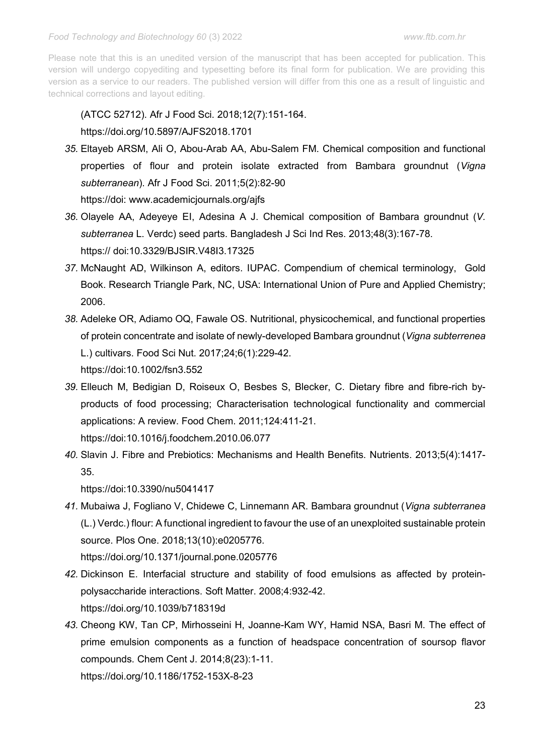(ATCC 52712). Afr J Food Sci. 2018;12(7):151-164. https://doi.org/10.5897/AJFS2018.1701

- *35.* Eltayeb ARSM, Ali O, Abou-Arab AA, Abu-Salem FM. Chemical composition and functional properties of flour and protein isolate extracted from Bambara groundnut (*Vigna subterranean*). Afr J Food Sci. 2011;5(2):82-90 https://doi: www.academicjournals.org/ajfs
- *36.* Olayele AA, Adeyeye EI, Adesina A J. Chemical composition of Bambara groundnut (*V. subterranea* L. Verdc) seed parts. Bangladesh J Sci Ind Res. 2013;48(3):167-78. https:// doi:10.3329/BJSIR.V48I3.17325
- *37.* McNaught AD, Wilkinson A, editors. IUPAC. Compendium of chemical terminology, Gold Book. Research Triangle Park, NC, USA: International Union of Pure and Applied Chemistry; 2006.
- *38.* Adeleke OR, Adiamo OQ, Fawale OS. Nutritional, physicochemical, and functional properties of protein concentrate and isolate of newly-developed Bambara groundnut (*Vigna subterrenea* L.) cultivars. Food Sci Nut. 2017;24;6(1):229-42. https://doi:10.1002/fsn3.552
- *39.* Elleuch M, Bedigian D, Roiseux O, Besbes S, Blecker, C. Dietary fibre and fibre-rich byproducts of food processing; Characterisation technological functionality and commercial applications: A review. Food Chem. 2011;124:411-21. https://doi:10.1016/j.foodchem.2010.06.077
- *40.* Slavin J. Fibre and Prebiotics: Mechanisms and Health Benefits. Nutrients. 2013;5(4):1417- 35.

https://doi:10.3390/nu5041417

*41.* Mubaiwa J, Fogliano V, Chidewe C, Linnemann AR. Bambara groundnut (*Vigna subterranea* (L.) Verdc.) flour: A functional ingredient to favour the use of an unexploited sustainable protein source. Plos One. 2018;13(10):e0205776.

https://doi.org/10.1371/journal.pone.0205776

- *42.* Dickinson E. Interfacial structure and stability of food emulsions as affected by proteinpolysaccharide interactions. Soft Matter. 2008;4:932-42. https://doi.org/10.1039/b718319d
- *43.* Cheong KW, Tan CP, Mirhosseini H, Joanne-Kam WY, Hamid NSA, Basri M. The effect of prime emulsion components as a function of headspace concentration of soursop flavor compounds. Chem Cent J. 2014;8(23):1-11. https://doi.org/10.1186/1752-153X-8-23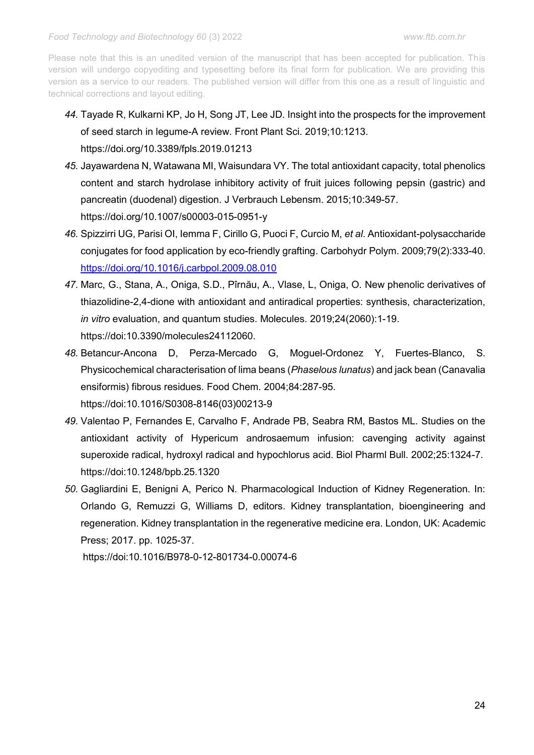Please note that this is an unedited version of the manuscript that has been accepted for publication. This version will undergo copyediting and typesetting before its final form for publication. We are providing this version as a service to our readers. The published version will differ from this one as a result of linguistic and technical corrections and layout editing.

- *44.* Tayade R, Kulkarni KP, Jo H, Song JT, Lee JD. Insight into the prospects for the improvement of seed starch in legume-A review. Front Plant Sci. 2019;10:1213. https://doi.org/10.3389/fpls.2019.01213
- *45.* Jayawardena N, Watawana MI, Waisundara VY. The total antioxidant capacity, total phenolics content and starch hydrolase inhibitory activity of fruit juices following pepsin (gastric) and pancreatin (duodenal) digestion. J Verbrauch Lebensm. 2015;10:349-57. https://doi.org/10.1007/s00003-015-0951-y
- *46.* Spizzirri UG, Parisi OI, Iemma F, Cirillo G, Puoci F, Curcio M, *et al*. Antioxidant-polysaccharide conjugates for food application by eco-friendly grafting. Carbohydr Polym. 2009;79(2):333-40. <https://doi.org/10.1016/j.carbpol.2009.08.010>
- *47.* Marc, G., Stana, A., Oniga, S.D., Pîrnău, A., Vlase, L, Oniga, O. New phenolic derivatives of thiazolidine-2,4-dione with antioxidant and antiradical properties: synthesis, characterization, *in vitro* evaluation, and quantum studies. Molecules. 2019;24(2060):1-19. https://doi:10.3390/molecules24112060.
- *48.* Betancur-Ancona D, Perza-Mercado G, Moguel-Ordonez Y, Fuertes-Blanco, S. Physicochemical characterisation of lima beans (*Phaselous lunatus*) and jack bean (Canavalia ensiformis) fibrous residues. Food Chem. 2004;84:287-95. https://doi:10.1016/S0308-8146(03)00213-9
- *49.* Valentao P, Fernandes E, Carvalho F, Andrade PB, Seabra RM, Bastos ML. Studies on the antioxidant activity of Hypericum androsaemum infusion: cavenging activity against superoxide radical, hydroxyl radical and hypochlorus acid. Biol Pharml Bull. 2002;25:1324-7. https://doi:10.1248/bpb.25.1320
- *50.* Gagliardini E, Benigni A, Perico N. Pharmacological Induction of Kidney Regeneration. In: Orlando G, Remuzzi G, Williams D, editors. Kidney transplantation, bioengineering and regeneration. Kidney transplantation in the regenerative medicine era. London, UK: Academic Press; 2017. pp. 1025-37.

https://doi:10.1016/B978-0-12-801734-0.00074-6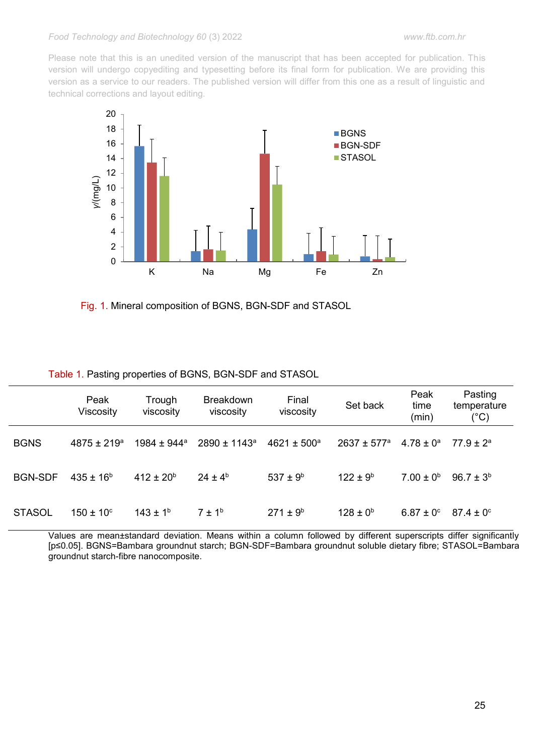

Fig. 1. Mineral composition of BGNS, BGN-SDF and STASOL

|                | Peak<br>Viscosity      | Trough<br>viscosity         | <b>Breakdown</b><br>viscosity | Final<br>viscosity     | Set back       | Peak<br>time<br>(min) | Pasting<br>temperature<br>$(^{\circ}C)$ |  |
|----------------|------------------------|-----------------------------|-------------------------------|------------------------|----------------|-----------------------|-----------------------------------------|--|
| <b>BGNS</b>    | $4875 \pm 219^{\circ}$ | $1984 \pm 944$ <sup>a</sup> | $2890 \pm 1143$ <sup>a</sup>  | $4621 \pm 500^{\circ}$ | $2637 + 577^a$ | $4.78 \pm 0^a$        | $77.9 \pm 2^a$                          |  |
| <b>BGN-SDF</b> | $435 \pm 16^{b}$       | $412 \pm 20^{6}$            | $24 \pm 4^b$                  | $537 \pm 9^b$          | $122 \pm 9^b$  | $7.00 \pm 0^{6}$      | $96.7 \pm 3^{b}$                        |  |
| <b>STASOL</b>  | $150 \pm 10^{\circ}$   | $143 \pm 1^{6}$             | $7 \pm 1^b$                   | $271 \pm 9^b$          | $128 \pm 0^6$  | $6.87 \pm 0^{\circ}$  | $87.4 \pm 0^{\circ}$                    |  |

Table 1. Pasting properties of BGNS, BGN-SDF and STASOL

Values are mean±standard deviation. Means within a column followed by different superscripts differ significantly [p≤0.05]. BGNS=Bambara groundnut starch; BGN-SDF=Bambara groundnut soluble dietary fibre; STASOL=Bambara groundnut starch-fibre nanocomposite.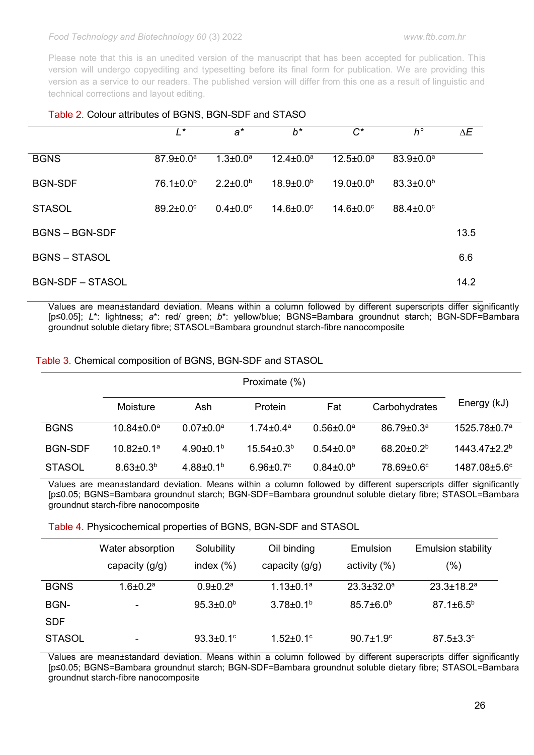Please note that this is an unedited version of the manuscript that has been accepted for publication. This version will undergo copyediting and typesetting before its final form for publication. We are providing this version as a service to our readers. The published version will differ from this one as a result of linguistic and technical corrections and layout editing.

|                         | L*                          | $a^*$                 | $b^*$                       | $C^*$                       | $h^{\circ}$                 | $\Delta E$ |
|-------------------------|-----------------------------|-----------------------|-----------------------------|-----------------------------|-----------------------------|------------|
| <b>BGNS</b>             | $87.9 \pm 0.0^a$            | $1.3 \pm 0.0^a$       | $12.4 \pm 0.0^a$            | $12.5 \pm 0.0^a$            | $83.9 \pm 0.0^a$            |            |
| <b>BGN-SDF</b>          | $76.1 \pm 0.0^b$            | $2.2 \pm 0.0^b$       | $18.9 \pm 0.0^{\rm b}$      | $19.0 \pm 0.0^{\rm b}$      | $83.3 \pm 0.0^b$            |            |
| <b>STASOL</b>           | $89.2 \pm 0.0$ <sup>c</sup> | $0.4{\pm}0.0^{\circ}$ | $14.6 \pm 0.0$ <sup>c</sup> | $14.6 \pm 0.0$ <sup>c</sup> | $88.4 \pm 0.0$ <sup>c</sup> |            |
| BGNS - BGN-SDF          |                             |                       |                             |                             |                             | 13.5       |
| <b>BGNS – STASOL</b>    |                             |                       |                             |                             |                             | 6.6        |
| <b>BGN-SDF - STASOL</b> |                             |                       |                             |                             |                             | 14.2       |

### Table 2. Colour attributes of BGNS, BGN-SDF and STASO

Values are mean±standard deviation. Means within a column followed by different superscripts differ significantly [p≤0.05]; *L*\*: lightness; *a*\*: red/ green; *b*\*: yellow/blue; BGNS=Bambara groundnut starch; BGN-SDF=Bambara groundnut soluble dietary fibre; STASOL=Bambara groundnut starch-fibre nanocomposite

### Table 3. Chemical composition of BGNS, BGN-SDF and STASOL

|                |                              |                             | Proximate $(\%)$  |                  |                   |                          |
|----------------|------------------------------|-----------------------------|-------------------|------------------|-------------------|--------------------------|
|                | Moisture                     | Ash                         | Protein           | Fat              | Carbohydrates     | Energy (kJ)              |
| <b>BGNS</b>    | $10.84 \pm 0.0^a$            | $0.07 \pm 0.0$ <sup>a</sup> | $1.74 \pm 0.4^a$  | $0.56 \pm 0.0^a$ | $86.79 \pm 0.3^a$ | $1525.78\pm0.7a$         |
| <b>BGN-SDF</b> | $10.82 \pm 0.1$ <sup>a</sup> | 4.90 $\pm$ 0.1 <sup>b</sup> | $15.54 \pm 0.3^b$ | $0.54 \pm 0.0^a$ | $68.20 \pm 0.2^b$ | $1443.47 \pm 2.2^b$      |
| <b>STASOL</b>  | $8.63 \pm 0.3^b$             | 4.88 $\pm$ 0.1 <sup>b</sup> | $6.96 \pm 0.7$ °  | $0.84 \pm 0.0^b$ | 78.69±0.6°        | 1487.08±5.6 <sup>c</sup> |

Values are mean±standard deviation. Means within a column followed by different superscripts differ significantly [p≤0.05; BGNS=Bambara groundnut starch; BGN-SDF=Bambara groundnut soluble dietary fibre; STASOL=Bambara groundnut starch-fibre nanocomposite

Table 4. Physicochemical properties of BGNS, BGN-SDF and STASOL

|               | Water absorption<br>capacity $(g/g)$ | Solubility<br>index $(\% )$ | Oil binding<br>capacity (g/g) | Emulsion<br>activity $(%)$  | <b>Emulsion stability</b><br>$(\%)$ |
|---------------|--------------------------------------|-----------------------------|-------------------------------|-----------------------------|-------------------------------------|
| <b>BGNS</b>   | $1.6 \pm 0.2$ <sup>a</sup>           | $0.9 \pm 0.2$ <sup>a</sup>  | $1.13 \pm 0.1$ <sup>a</sup>   | $23.3 \pm 32.0^a$           | $23.3 \pm 18.2$ <sup>a</sup>        |
| <b>BGN-</b>   | $\overline{\phantom{a}}$             | $95.3{\pm}0.0^{\rm b}$      | $3.78 \pm 0.1^b$              | $85.7 \pm 6.0^b$            | $87.1 \pm 6.5^{\circ}$              |
| <b>SDF</b>    |                                      |                             |                               |                             |                                     |
| <b>STASOL</b> | -                                    | 93.3 $\pm$ 0.1 $\circ$      | $1.52 \pm 0.1$ <sup>c</sup>   | $90.7 \pm 1.9$ <sup>c</sup> | $87.5 \pm 3.3$ °                    |

Values are mean±standard deviation. Means within a column followed by different superscripts differ significantly [p≤0.05; BGNS=Bambara groundnut starch; BGN-SDF=Bambara groundnut soluble dietary fibre; STASOL=Bambara groundnut starch-fibre nanocomposite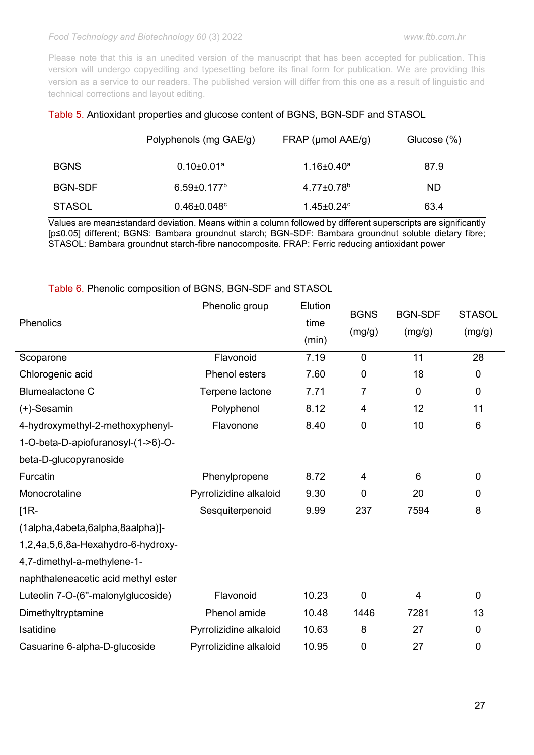Please note that this is an unedited version of the manuscript that has been accepted for publication. This version will undergo copyediting and typesetting before its final form for publication. We are providing this version as a service to our readers. The published version will differ from this one as a result of linguistic and technical corrections and layout editing.

|                | Polyphenols (mg GAE/g)        | $FRAP$ (µmol $AAE/g$ )       | Glucose (%) |
|----------------|-------------------------------|------------------------------|-------------|
| <b>BGNS</b>    | $0.10 \pm 0.01$ <sup>a</sup>  | $1.16 \pm 0.40^a$            | 87.9        |
| <b>BGN-SDF</b> | $6.59 \pm 0.177$ <sup>b</sup> | $4.77 \pm 0.78$ <sup>b</sup> | <b>ND</b>   |
| <b>STASOL</b>  | $0.46 \pm 0.048$ °            | $1.45 \pm 0.24$ °            | 63.4        |

| Table 5. Antioxidant properties and glucose content of BGNS, BGN-SDF and STASOL |  |  |  |
|---------------------------------------------------------------------------------|--|--|--|
|---------------------------------------------------------------------------------|--|--|--|

Values are mean±standard deviation. Means within a column followed by different superscripts are significantly [p≤0.05] different; BGNS: Bambara groundnut starch; BGN-SDF: Bambara groundnut soluble dietary fibre; STASOL: Bambara groundnut starch-fibre nanocomposite. FRAP: Ferric reducing antioxidant power

| Phenolics                           | Phenolic group         | Elution<br>time<br>(min) | <b>BGNS</b><br>(mg/g) | <b>BGN-SDF</b><br>(mg/g) | <b>STASOL</b><br>(mg/g) |
|-------------------------------------|------------------------|--------------------------|-----------------------|--------------------------|-------------------------|
| Scoparone                           | Flavonoid              | 7.19                     | $\mathbf 0$           | 11                       | 28                      |
| Chlorogenic acid                    | <b>Phenol esters</b>   | 7.60                     | $\mathbf 0$           | 18                       | 0                       |
| <b>Blumealactone C</b>              | Terpene lactone        | 7.71                     | 7                     | $\overline{0}$           | $\mathbf 0$             |
| $(+)$ -Sesamin                      | Polyphenol             | 8.12                     | $\overline{4}$        | 12                       | 11                      |
| 4-hydroxymethyl-2-methoxyphenyl-    | Flavonone              | 8.40                     | 0                     | 10                       | 6                       |
| 1-O-beta-D-apiofuranosyl-(1->6)-O-  |                        |                          |                       |                          |                         |
| beta-D-glucopyranoside              |                        |                          |                       |                          |                         |
| Furcatin                            | Phenylpropene          | 8.72                     | $\overline{4}$        | 6                        | $\Omega$                |
| Monocrotaline                       | Pyrrolizidine alkaloid | 9.30                     | $\overline{0}$        | 20                       | 0                       |
| $[1R-$                              | Sesquiterpenoid        | 9.99                     | 237                   | 7594                     | 8                       |
| (1alpha,4abeta,6alpha,8aalpha)]-    |                        |                          |                       |                          |                         |
| 1,2,4a,5,6,8a-Hexahydro-6-hydroxy-  |                        |                          |                       |                          |                         |
| 4,7-dimethyl-a-methylene-1-         |                        |                          |                       |                          |                         |
| naphthaleneacetic acid methyl ester |                        |                          |                       |                          |                         |
| Luteolin 7-O-(6"-malonylglucoside)  | Flavonoid              | 10.23                    | $\mathbf 0$           | 4                        | 0                       |
| Dimethyltryptamine                  | Phenol amide           | 10.48                    | 1446                  | 7281                     | 13                      |
| Isatidine                           | Pyrrolizidine alkaloid | 10.63                    | 8                     | 27                       | 0                       |
| Casuarine 6-alpha-D-glucoside       | Pyrrolizidine alkaloid | 10.95                    | 0                     | 27                       | 0                       |

### Table 6. Phenolic composition of BGNS, BGN-SDF and STASOL